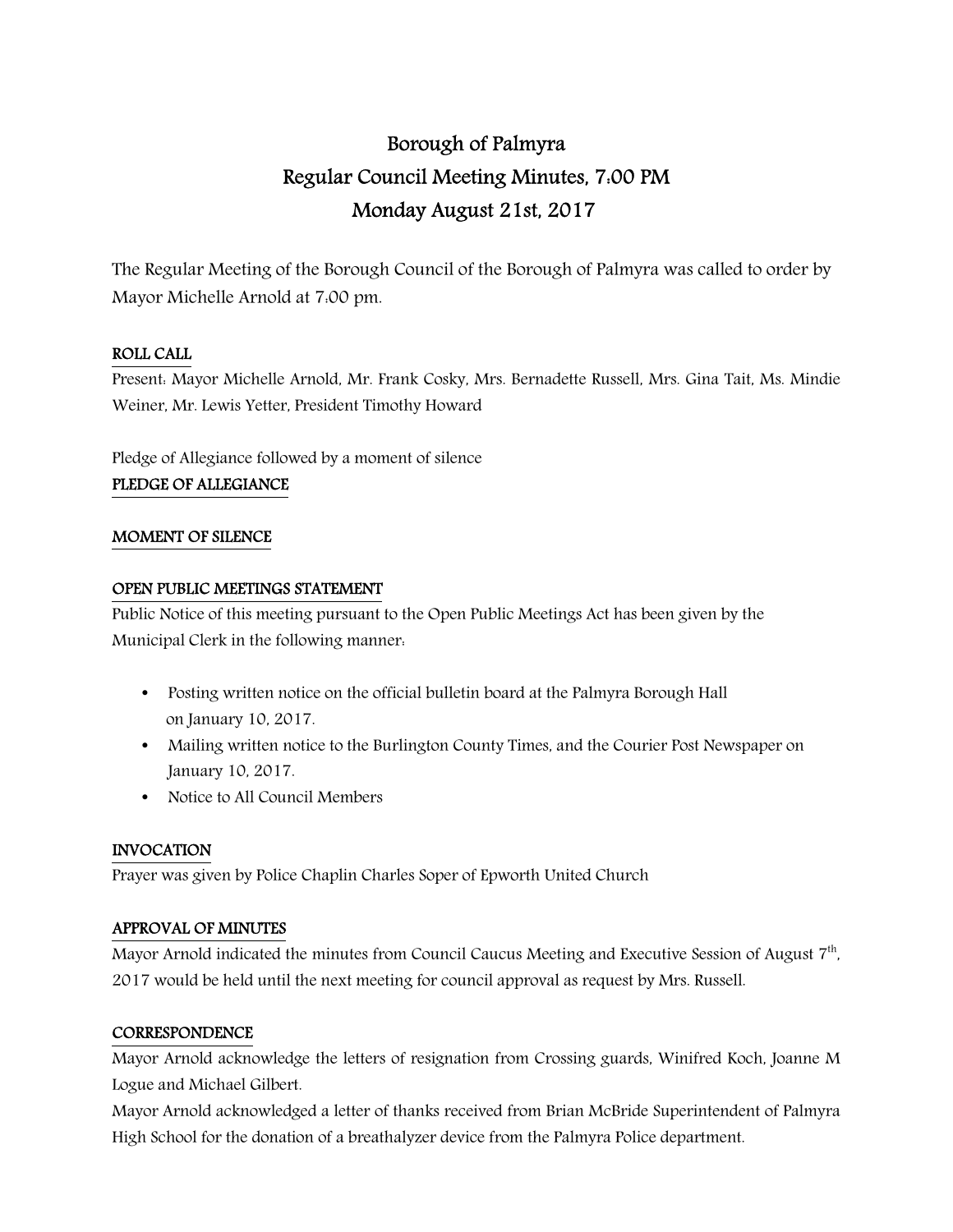# Borough of Palmyra Regular Council Meeting Minutes, 7:00 PM Monday August 21st, 2017

The Regular Meeting of the Borough Council of the Borough of Palmyra was called to order by Mayor Michelle Arnold at 7:00 pm.

## ROLL CALL

Present: Mayor Michelle Arnold, Mr. Frank Cosky, Mrs. Bernadette Russell, Mrs. Gina Tait, Ms. Mindie Weiner, Mr. Lewis Yetter, President Timothy Howard

Pledge of Allegiance followed by a moment of silence

### PLEDGE OF ALLEGIANCE

### MOMENT OF SILENCE

### OPEN PUBLIC MEETINGS STATEMENT

Public Notice of this meeting pursuant to the Open Public Meetings Act has been given by the Municipal Clerk in the following manner:

- Posting written notice on the official bulletin board at the Palmyra Borough Hall on January 10, 2017.
- Mailing written notice to the Burlington County Times, and the Courier Post Newspaper on January 10, 2017.
- Notice to All Council Members

### INVOCATION

Prayer was given by Police Chaplin Charles Soper of Epworth United Church

### APPROVAL OF MINUTES

Mayor Arnold indicated the minutes from Council Caucus Meeting and Executive Session of August 7<sup>th</sup>, 2017 would be held until the next meeting for council approval as request by Mrs. Russell.

### **CORRESPONDENCE**

Mayor Arnold acknowledge the letters of resignation from Crossing guards, Winifred Koch, Joanne M Logue and Michael Gilbert.

Mayor Arnold acknowledged a letter of thanks received from Brian McBride Superintendent of Palmyra High School for the donation of a breathalyzer device from the Palmyra Police department.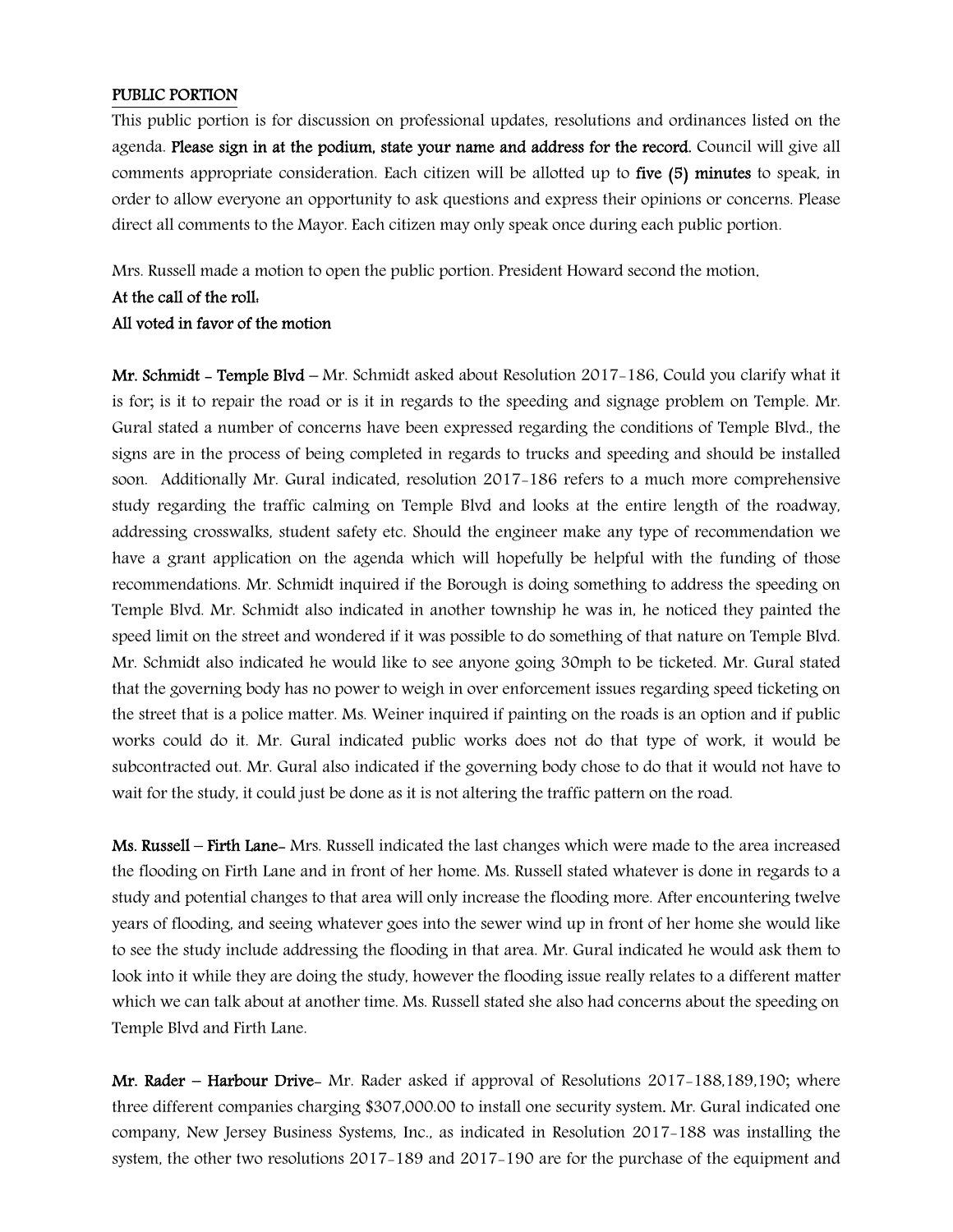#### PUBLIC PORTION

This public portion is for discussion on professional updates, resolutions and ordinances listed on the agenda. Please sign in at the podium, state your name and address for the record. Council will give all comments appropriate consideration. Each citizen will be allotted up to five (5) minutes to speak, in order to allow everyone an opportunity to ask questions and express their opinions or concerns. Please direct all comments to the Mayor. Each citizen may only speak once during each public portion.

Mrs. Russell made a motion to open the public portion. President Howard second the motion.

#### At the call of the roll:

#### All voted in favor of the motion

Mr. Schmidt - Temple Blvd - Mr. Schmidt asked about Resolution 2017-186, Could you clarify what it is for; is it to repair the road or is it in regards to the speeding and signage problem on Temple. Mr. Gural stated a number of concerns have been expressed regarding the conditions of Temple Blvd., the signs are in the process of being completed in regards to trucks and speeding and should be installed soon. Additionally Mr. Gural indicated, resolution 2017-186 refers to a much more comprehensive study regarding the traffic calming on Temple Blvd and looks at the entire length of the roadway, addressing crosswalks, student safety etc. Should the engineer make any type of recommendation we have a grant application on the agenda which will hopefully be helpful with the funding of those recommendations. Mr. Schmidt inquired if the Borough is doing something to address the speeding on Temple Blvd. Mr. Schmidt also indicated in another township he was in, he noticed they painted the speed limit on the street and wondered if it was possible to do something of that nature on Temple Blvd. Mr. Schmidt also indicated he would like to see anyone going 30mph to be ticketed. Mr. Gural stated that the governing body has no power to weigh in over enforcement issues regarding speed ticketing on the street that is a police matter. Ms. Weiner inquired if painting on the roads is an option and if public works could do it. Mr. Gural indicated public works does not do that type of work, it would be subcontracted out. Mr. Gural also indicated if the governing body chose to do that it would not have to wait for the study, it could just be done as it is not altering the traffic pattern on the road.

Ms. Russell – Firth Lane- Mrs. Russell indicated the last changes which were made to the area increased the flooding on Firth Lane and in front of her home. Ms. Russell stated whatever is done in regards to a study and potential changes to that area will only increase the flooding more. After encountering twelve years of flooding, and seeing whatever goes into the sewer wind up in front of her home she would like to see the study include addressing the flooding in that area. Mr. Gural indicated he would ask them to look into it while they are doing the study, however the flooding issue really relates to a different matter which we can talk about at another time. Ms. Russell stated she also had concerns about the speeding on Temple Blvd and Firth Lane.

Mr. Rader – Harbour Drive- Mr. Rader asked if approval of Resolutions 2017–188,189,190; where three different companies charging \$307,000.00 to install one security system. Mr. Gural indicated one company, New Jersey Business Systems, Inc., as indicated in Resolution 2017-188 was installing the system, the other two resolutions 2017-189 and 2017-190 are for the purchase of the equipment and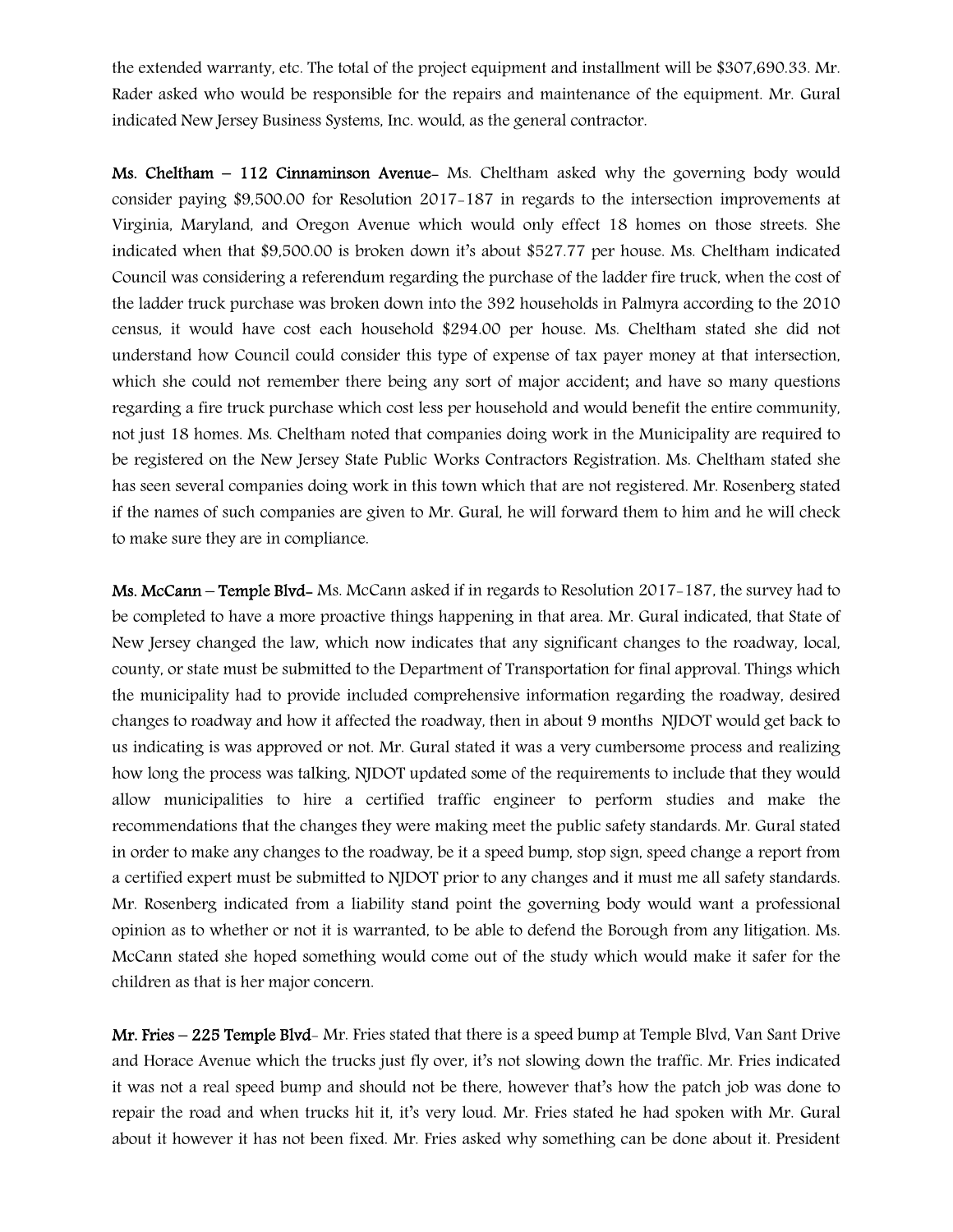the extended warranty, etc. The total of the project equipment and installment will be \$307,690.33. Mr. Rader asked who would be responsible for the repairs and maintenance of the equipment. Mr. Gural indicated New Jersey Business Systems, Inc. would, as the general contractor.

Ms. Cheltham – 112 Cinnaminson Avenue- Ms. Cheltham asked why the governing body would consider paying \$9,500.00 for Resolution 2017-187 in regards to the intersection improvements at Virginia, Maryland, and Oregon Avenue which would only effect 18 homes on those streets. She indicated when that \$9,500.00 is broken down it's about \$527.77 per house. Ms. Cheltham indicated Council was considering a referendum regarding the purchase of the ladder fire truck, when the cost of the ladder truck purchase was broken down into the 392 households in Palmyra according to the 2010 census, it would have cost each household \$294.00 per house. Ms. Cheltham stated she did not understand how Council could consider this type of expense of tax payer money at that intersection, which she could not remember there being any sort of major accident; and have so many questions regarding a fire truck purchase which cost less per household and would benefit the entire community, not just 18 homes. Ms. Cheltham noted that companies doing work in the Municipality are required to be registered on the New Jersey State Public Works Contractors Registration. Ms. Cheltham stated she has seen several companies doing work in this town which that are not registered. Mr. Rosenberg stated if the names of such companies are given to Mr. Gural, he will forward them to him and he will check to make sure they are in compliance.

Ms. McCann – Temple Blvd- Ms. McCann asked if in regards to Resolution 2017-187, the survey had to be completed to have a more proactive things happening in that area. Mr. Gural indicated, that State of New Jersey changed the law, which now indicates that any significant changes to the roadway, local, county, or state must be submitted to the Department of Transportation for final approval. Things which the municipality had to provide included comprehensive information regarding the roadway, desired changes to roadway and how it affected the roadway, then in about 9 months NJDOT would get back to us indicating is was approved or not. Mr. Gural stated it was a very cumbersome process and realizing how long the process was talking, NJDOT updated some of the requirements to include that they would allow municipalities to hire a certified traffic engineer to perform studies and make the recommendations that the changes they were making meet the public safety standards. Mr. Gural stated in order to make any changes to the roadway, be it a speed bump, stop sign, speed change a report from a certified expert must be submitted to NJDOT prior to any changes and it must me all safety standards. Mr. Rosenberg indicated from a liability stand point the governing body would want a professional opinion as to whether or not it is warranted, to be able to defend the Borough from any litigation. Ms. McCann stated she hoped something would come out of the study which would make it safer for the children as that is her major concern.

Mr. Fries – 225 Temple Blvd- Mr. Fries stated that there is a speed bump at Temple Blvd, Van Sant Drive and Horace Avenue which the trucks just fly over, it's not slowing down the traffic. Mr. Fries indicated it was not a real speed bump and should not be there, however that's how the patch job was done to repair the road and when trucks hit it, it's very loud. Mr. Fries stated he had spoken with Mr. Gural about it however it has not been fixed. Mr. Fries asked why something can be done about it. President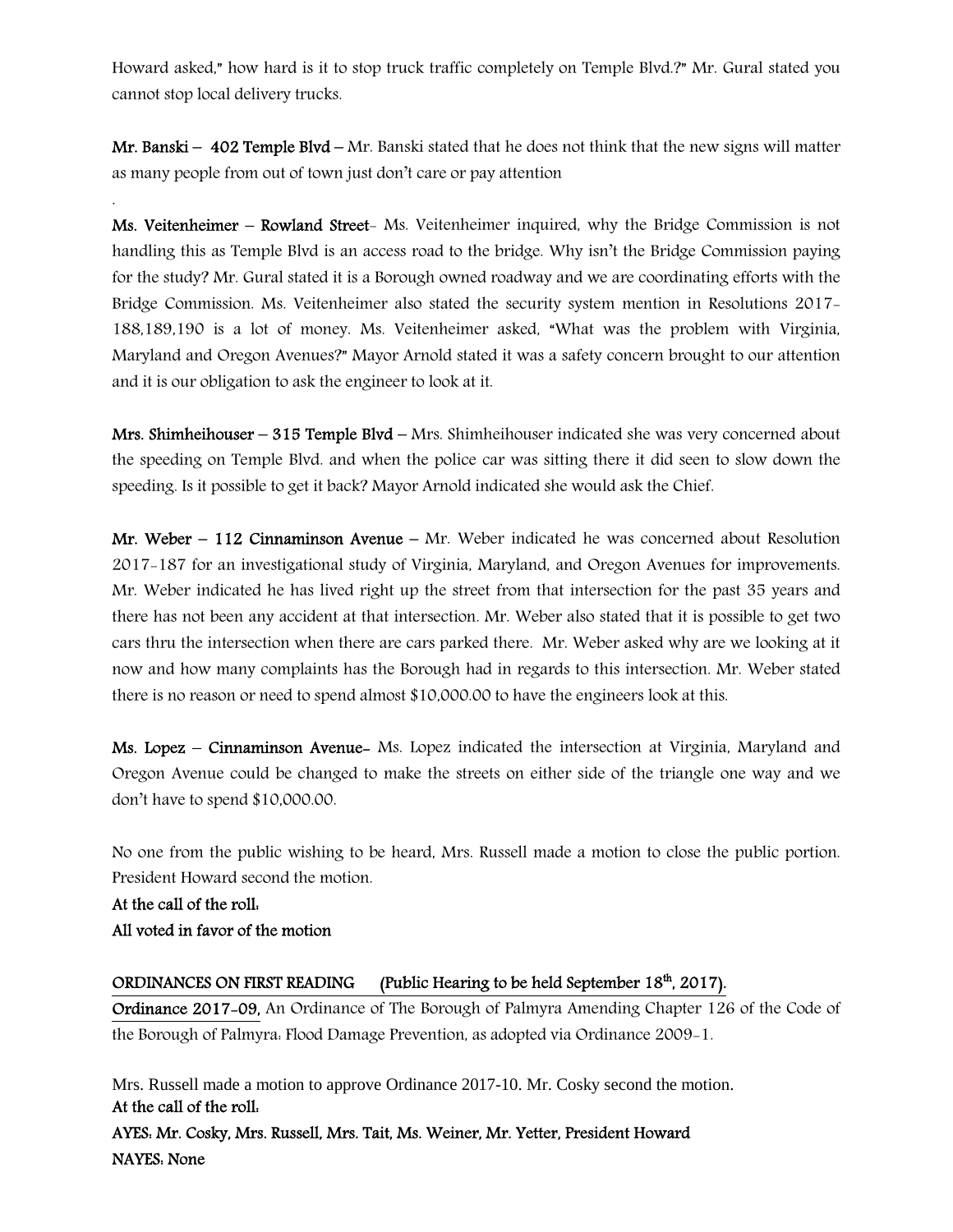Howard asked," how hard is it to stop truck traffic completely on Temple Blvd.?" Mr. Gural stated you cannot stop local delivery trucks.

Mr. Banski –  $402$  Temple Blvd – Mr. Banski stated that he does not think that the new signs will matter as many people from out of town just don't care or pay attention

Ms. Veitenheimer – Rowland Street- Ms. Veitenheimer inquired, why the Bridge Commission is not handling this as Temple Blvd is an access road to the bridge. Why isn't the Bridge Commission paying for the study? Mr. Gural stated it is a Borough owned roadway and we are coordinating efforts with the Bridge Commission. Ms. Veitenheimer also stated the security system mention in Resolutions 2017- 188,189,190 is a lot of money. Ms. Veitenheimer asked, "What was the problem with Virginia, Maryland and Oregon Avenues?" Mayor Arnold stated it was a safety concern brought to our attention and it is our obligation to ask the engineer to look at it.

**Mrs. Shimheihouser – 315 Temple Blvd – Mrs. Shimheihouser indicated she was very concerned about** the speeding on Temple Blvd. and when the police car was sitting there it did seen to slow down the speeding. Is it possible to get it back? Mayor Arnold indicated she would ask the Chief.

Mr. Weber – 112 Cinnaminson Avenue – Mr. Weber indicated he was concerned about Resolution 2017-187 for an investigational study of Virginia, Maryland, and Oregon Avenues for improvements. Mr. Weber indicated he has lived right up the street from that intersection for the past 35 years and there has not been any accident at that intersection. Mr. Weber also stated that it is possible to get two cars thru the intersection when there are cars parked there. Mr. Weber asked why are we looking at it now and how many complaints has the Borough had in regards to this intersection. Mr. Weber stated there is no reason or need to spend almost \$10,000.00 to have the engineers look at this.

Ms. Lopez – Cinnaminson Avenue- Ms. Lopez indicated the intersection at Virginia, Maryland and Oregon Avenue could be changed to make the streets on either side of the triangle one way and we don't have to spend \$10,000.00.

No one from the public wishing to be heard, Mrs. Russell made a motion to close the public portion. President Howard second the motion.

At the call of the roll: All voted in favor of the motion

.

### ORDINANCES ON FIRST READING (Public Hearing to be held September 18<sup>th</sup>, 2017).

Ordinance 2017-09, An Ordinance of The Borough of Palmyra Amending Chapter 126 of the Code of the Borough of Palmyra: Flood Damage Prevention, as adopted via Ordinance 2009-1.

Mrs. Russell made a motion to approve Ordinance 2017-10. Mr. Cosky second the motion. At the call of the roll: AYES: Mr. Cosky, Mrs. Russell, Mrs. Tait, Ms. Weiner, Mr. Yetter, President Howard NAYES: None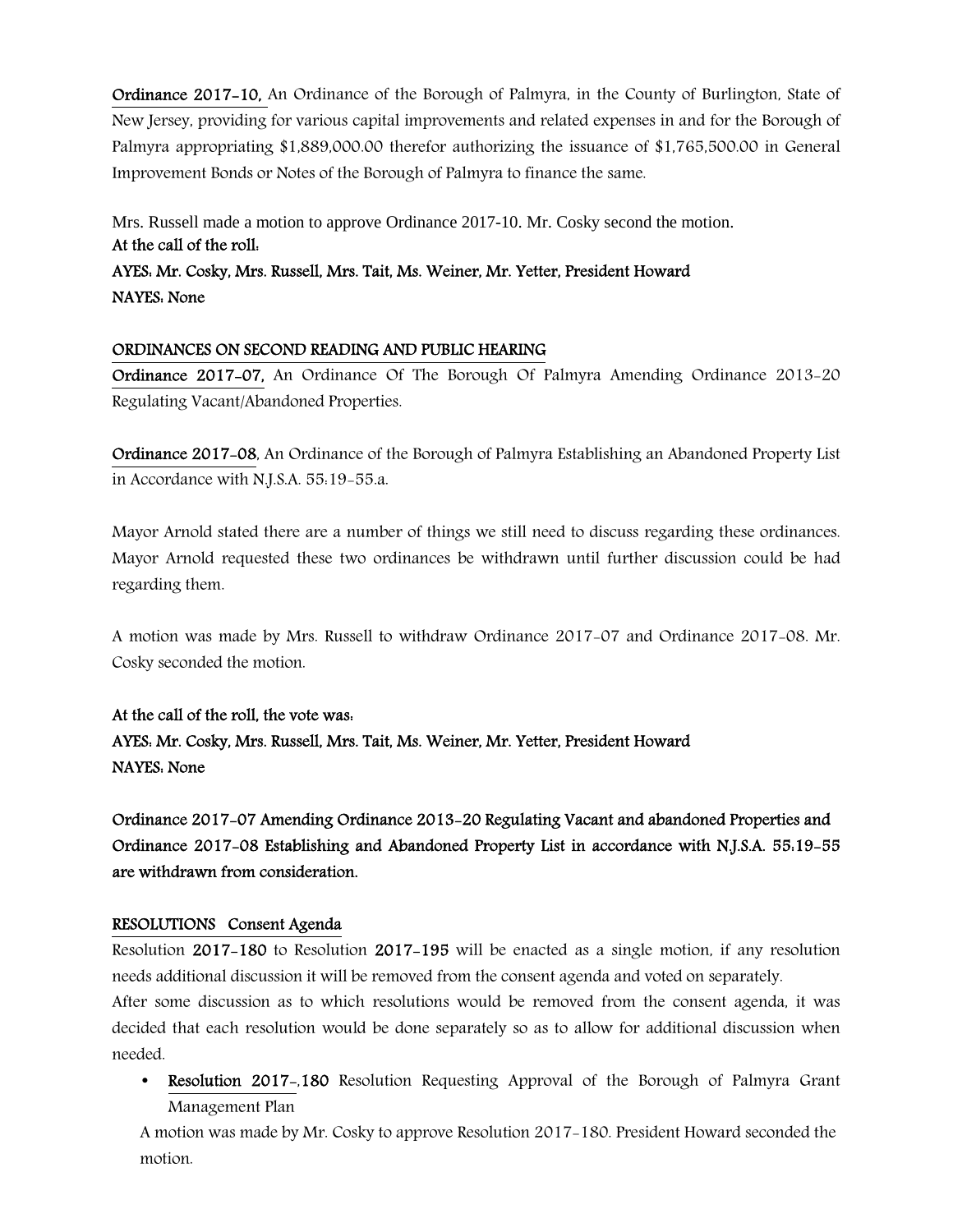Ordinance 2017-10, An Ordinance of the Borough of Palmyra, in the County of Burlington, State of New Jersey, providing for various capital improvements and related expenses in and for the Borough of Palmyra appropriating \$1,889,000.00 therefor authorizing the issuance of \$1,765,500.00 in General Improvement Bonds or Notes of the Borough of Palmyra to finance the same.

Mrs. Russell made a motion to approve Ordinance 2017-10. Mr. Cosky second the motion. At the call of the roll: AYES: Mr. Cosky, Mrs. Russell, Mrs. Tait, Ms. Weiner, Mr. Yetter, President Howard NAYES: None

### ORDINANCES ON SECOND READING AND PUBLIC HEARING

Ordinance 2017-07, An Ordinance Of The Borough Of Palmyra Amending Ordinance 2013-20 Regulating Vacant/Abandoned Properties.

Ordinance 2017-08, An Ordinance of the Borough of Palmyra Establishing an Abandoned Property List in Accordance with N.J.S.A. 55:19-55.a.

Mayor Arnold stated there are a number of things we still need to discuss regarding these ordinances. Mayor Arnold requested these two ordinances be withdrawn until further discussion could be had regarding them.

A motion was made by Mrs. Russell to withdraw Ordinance 2017-07 and Ordinance 2017-08. Mr. Cosky seconded the motion.

At the call of the roll, the vote was: AYES: Mr. Cosky, Mrs. Russell, Mrs. Tait, Ms. Weiner, Mr. Yetter, President Howard NAYES: None

Ordinance 2017-07 Amending Ordinance 2013-20 Regulating Vacant and abandoned Properties and Ordinance 2017-08 Establishing and Abandoned Property List in accordance with N.J.S.A. 55:19-55 are withdrawn from consideration.

#### RESOLUTIONS Consent Agenda

Resolution 2017-180 to Resolution 2017-195 will be enacted as a single motion, if any resolution needs additional discussion it will be removed from the consent agenda and voted on separately.

After some discussion as to which resolutions would be removed from the consent agenda, it was decided that each resolution would be done separately so as to allow for additional discussion when needed.

• Resolution 2017–180 Resolution Requesting Approval of the Borough of Palmyra Grant Management Plan

A motion was made by Mr. Cosky to approve Resolution 2017-180. President Howard seconded the motion.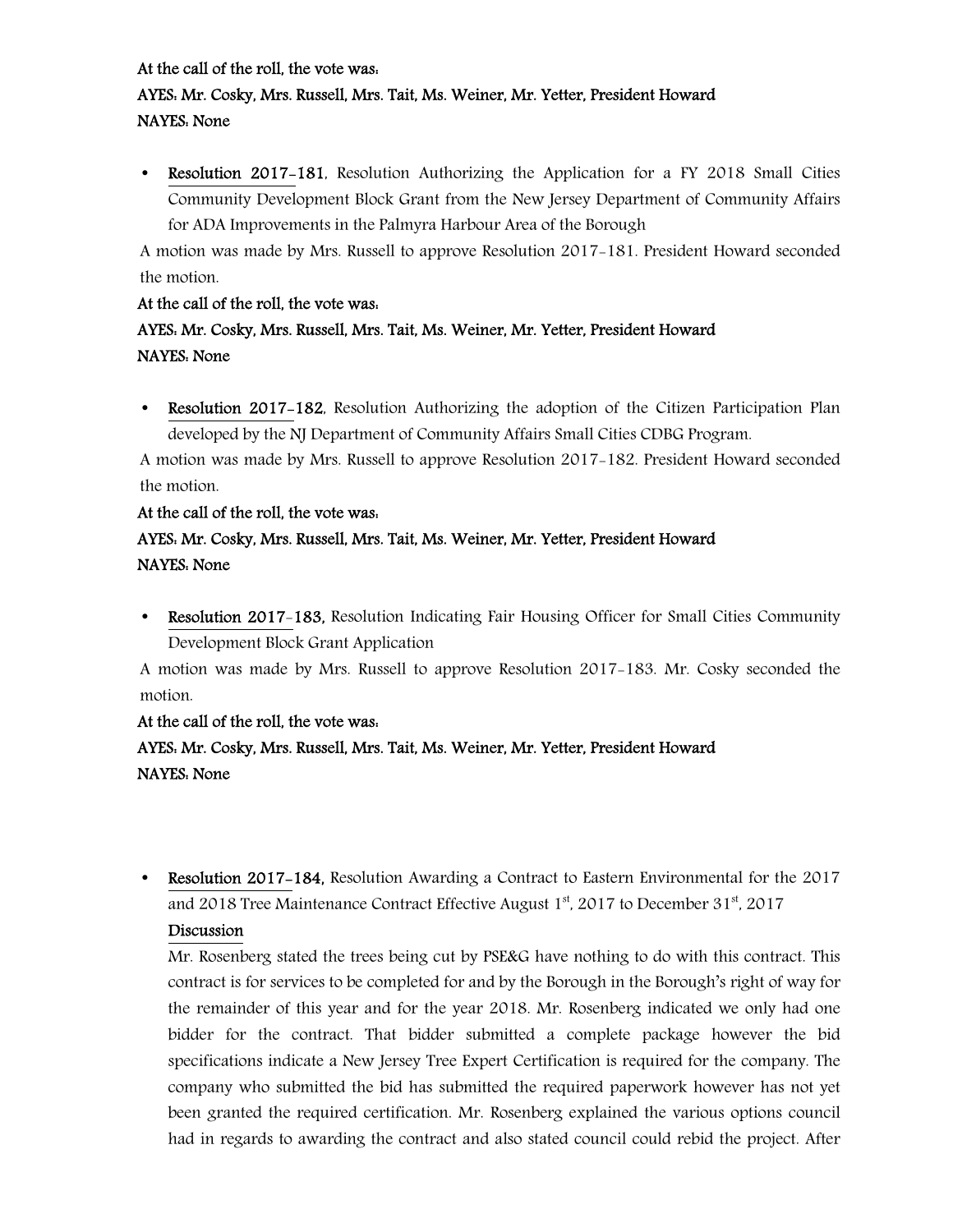### At the call of the roll, the vote was:

## AYES: Mr. Cosky, Mrs. Russell, Mrs. Tait, Ms. Weiner, Mr. Yetter, President Howard NAYES: None

• Resolution 2017–181, Resolution Authorizing the Application for a FY 2018 Small Cities Community Development Block Grant from the New Jersey Department of Community Affairs for ADA Improvements in the Palmyra Harbour Area of the Borough

A motion was made by Mrs. Russell to approve Resolution 2017-181. President Howard seconded the motion.

### At the call of the roll, the vote was:

## AYES: Mr. Cosky, Mrs. Russell, Mrs. Tait, Ms. Weiner, Mr. Yetter, President Howard NAYES: None

• Resolution 2017–182, Resolution Authorizing the adoption of the Citizen Participation Plan developed by the NJ Department of Community Affairs Small Cities CDBG Program.

A motion was made by Mrs. Russell to approve Resolution 2017-182. President Howard seconded the motion.

### At the call of the roll, the vote was:

## AYES: Mr. Cosky, Mrs. Russell, Mrs. Tait, Ms. Weiner, Mr. Yetter, President Howard NAYES: None

• Resolution 2017-183, Resolution Indicating Fair Housing Officer for Small Cities Community Development Block Grant Application

A motion was made by Mrs. Russell to approve Resolution 2017-183. Mr. Cosky seconded the motion.

### At the call of the roll, the vote was:

## AYES: Mr. Cosky, Mrs. Russell, Mrs. Tait, Ms. Weiner, Mr. Yetter, President Howard NAYES: None

• Resolution 2017-184, Resolution Awarding a Contract to Eastern Environmental for the 2017 and 2018 Tree Maintenance Contract Effective August  $1<sup>st</sup>$ , 2017 to December 31 $<sup>st</sup>$ , 2017</sup>

### Discussion

Mr. Rosenberg stated the trees being cut by PSE&G have nothing to do with this contract. This contract is for services to be completed for and by the Borough in the Borough's right of way for the remainder of this year and for the year 2018. Mr. Rosenberg indicated we only had one bidder for the contract. That bidder submitted a complete package however the bid specifications indicate a New Jersey Tree Expert Certification is required for the company. The company who submitted the bid has submitted the required paperwork however has not yet been granted the required certification. Mr. Rosenberg explained the various options council had in regards to awarding the contract and also stated council could rebid the project. After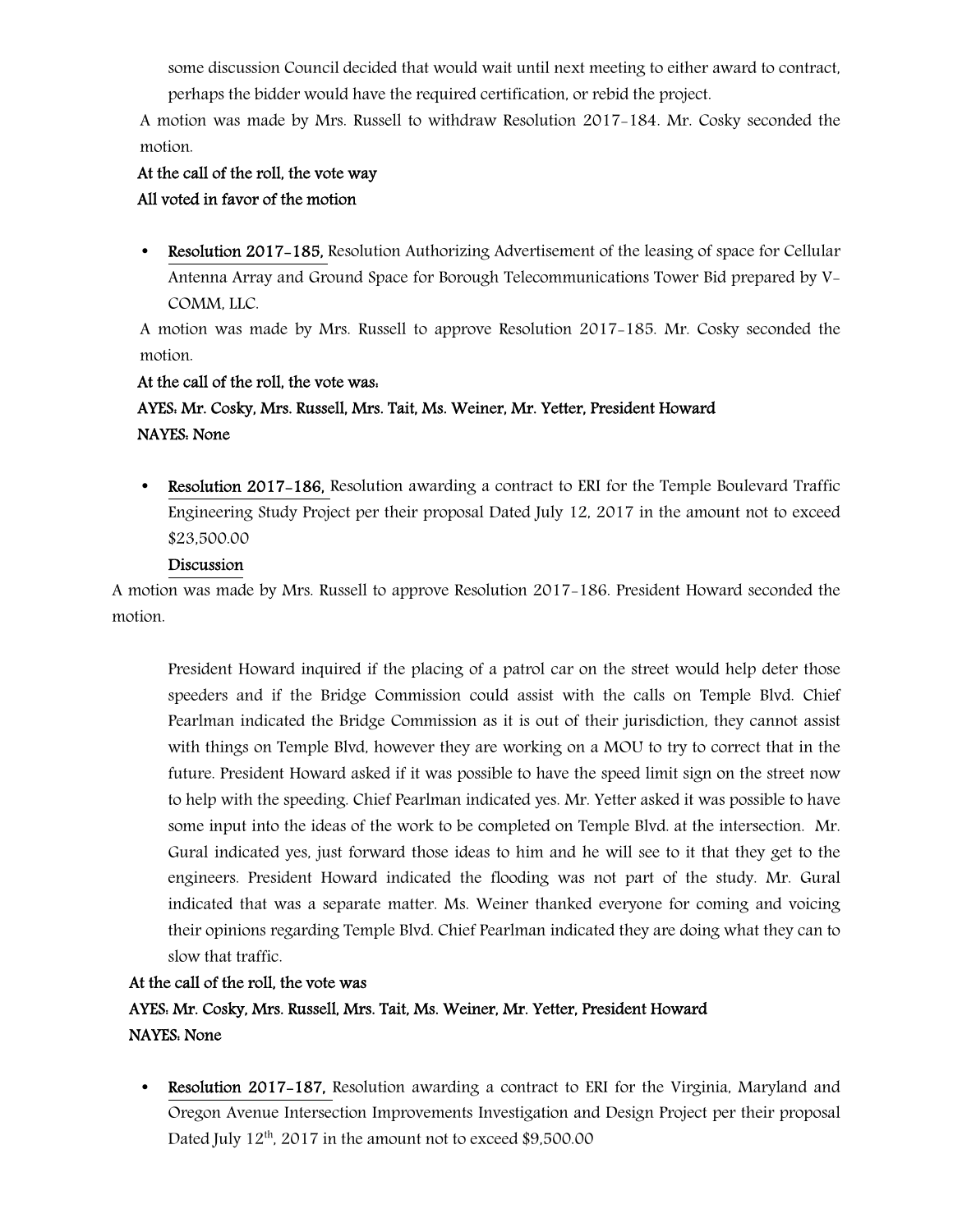some discussion Council decided that would wait until next meeting to either award to contract, perhaps the bidder would have the required certification, or rebid the project.

A motion was made by Mrs. Russell to withdraw Resolution 2017-184. Mr. Cosky seconded the motion.

## At the call of the roll, the vote way All voted in favor of the motion

• Resolution 2017–185, Resolution Authorizing Advertisement of the leasing of space for Cellular Antenna Array and Ground Space for Borough Telecommunications Tower Bid prepared by V-COMM, LLC.

A motion was made by Mrs. Russell to approve Resolution 2017-185. Mr. Cosky seconded the motion.

## At the call of the roll, the vote was: AYES: Mr. Cosky, Mrs. Russell, Mrs. Tait, Ms. Weiner, Mr. Yetter, President Howard NAYES: None

• Resolution 2017–186, Resolution awarding a contract to ERI for the Temple Boulevard Traffic Engineering Study Project per their proposal Dated July 12, 2017 in the amount not to exceed \$23,500.00

## Discussion

A motion was made by Mrs. Russell to approve Resolution 2017-186. President Howard seconded the motion.

President Howard inquired if the placing of a patrol car on the street would help deter those speeders and if the Bridge Commission could assist with the calls on Temple Blvd. Chief Pearlman indicated the Bridge Commission as it is out of their jurisdiction, they cannot assist with things on Temple Blvd, however they are working on a MOU to try to correct that in the future. President Howard asked if it was possible to have the speed limit sign on the street now to help with the speeding. Chief Pearlman indicated yes. Mr. Yetter asked it was possible to have some input into the ideas of the work to be completed on Temple Blvd. at the intersection. Mr. Gural indicated yes, just forward those ideas to him and he will see to it that they get to the engineers. President Howard indicated the flooding was not part of the study. Mr. Gural indicated that was a separate matter. Ms. Weiner thanked everyone for coming and voicing their opinions regarding Temple Blvd. Chief Pearlman indicated they are doing what they can to slow that traffic.

## At the call of the roll, the vote was AYES: Mr. Cosky, Mrs. Russell, Mrs. Tait, Ms. Weiner, Mr. Yetter, President Howard NAYES: None

• Resolution 2017-187, Resolution awarding a contract to ERI for the Virginia, Maryland and Oregon Avenue Intersection Improvements Investigation and Design Project per their proposal Dated July  $12<sup>th</sup>$ , 2017 in the amount not to exceed \$9,500.00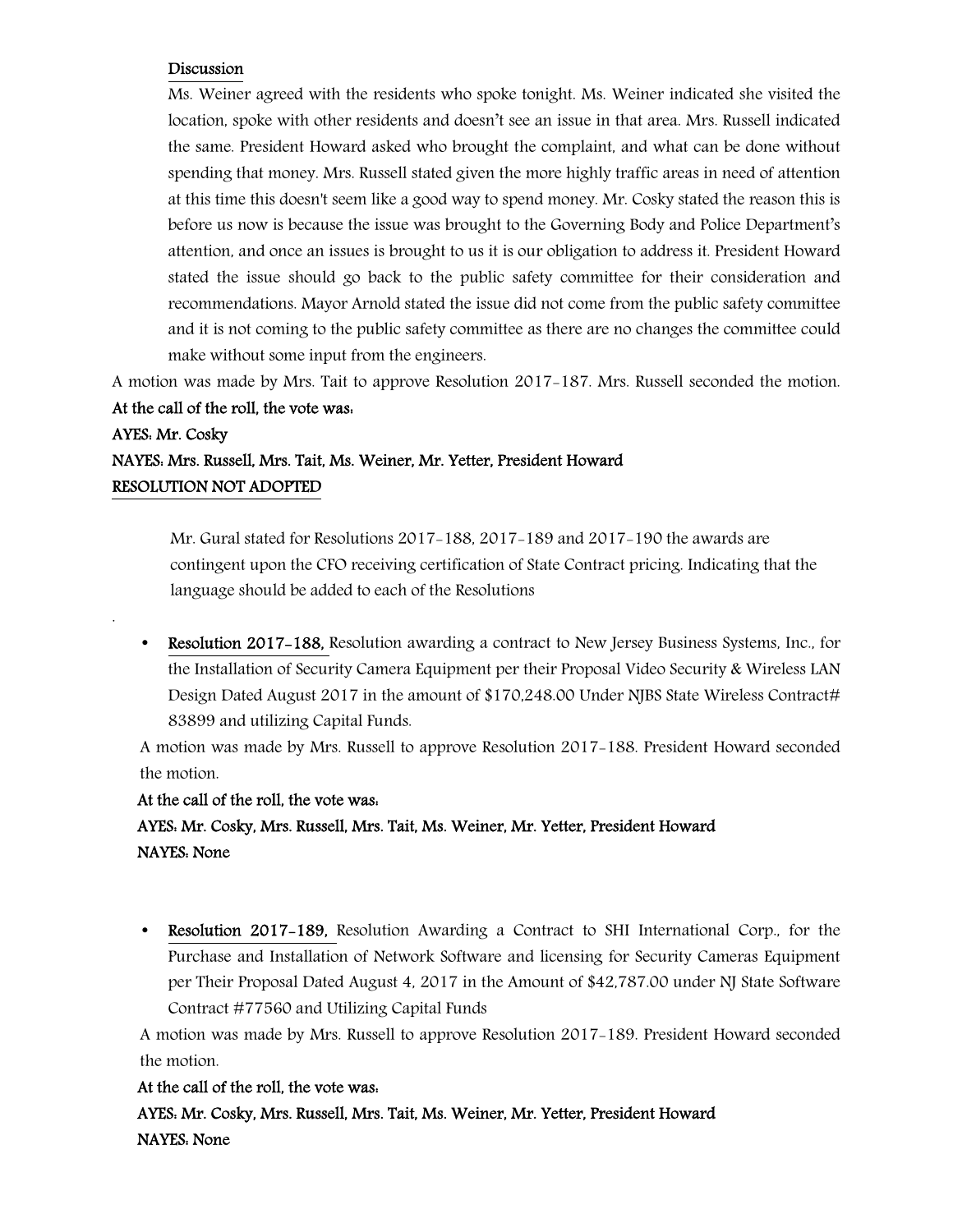### Discussion

Ms. Weiner agreed with the residents who spoke tonight. Ms. Weiner indicated she visited the location, spoke with other residents and doesn't see an issue in that area. Mrs. Russell indicated the same. President Howard asked who brought the complaint, and what can be done without spending that money. Mrs. Russell stated given the more highly traffic areas in need of attention at this time this doesn't seem like a good way to spend money. Mr. Cosky stated the reason this is before us now is because the issue was brought to the Governing Body and Police Department's attention, and once an issues is brought to us it is our obligation to address it. President Howard stated the issue should go back to the public safety committee for their consideration and recommendations. Mayor Arnold stated the issue did not come from the public safety committee and it is not coming to the public safety committee as there are no changes the committee could make without some input from the engineers.

A motion was made by Mrs. Tait to approve Resolution 2017-187. Mrs. Russell seconded the motion.

## At the call of the roll, the vote was:

.

## AYES: Mr. Cosky NAYES: Mrs. Russell, Mrs. Tait, Ms. Weiner, Mr. Yetter, President Howard RESOLUTION NOT ADOPTED

 Mr. Gural stated for Resolutions 2017-188, 2017-189 and 2017-190 the awards are contingent upon the CFO receiving certification of State Contract pricing. Indicating that the language should be added to each of the Resolutions

• Resolution 2017-188, Resolution awarding a contract to New Jersey Business Systems, Inc., for the Installation of Security Camera Equipment per their Proposal Video Security & Wireless LAN Design Dated August 2017 in the amount of \$170,248.00 Under NIBS State Wireless Contract# 83899 and utilizing Capital Funds.

A motion was made by Mrs. Russell to approve Resolution 2017-188. President Howard seconded the motion.

#### At the call of the roll, the vote was:

 AYES: Mr. Cosky, Mrs. Russell, Mrs. Tait, Ms. Weiner, Mr. Yetter, President Howard NAYES: None

• Resolution 2017–189, Resolution Awarding a Contract to SHI International Corp., for the Purchase and Installation of Network Software and licensing for Security Cameras Equipment per Their Proposal Dated August 4, 2017 in the Amount of \$42,787.00 under NJ State Software Contract #77560 and Utilizing Capital Funds

A motion was made by Mrs. Russell to approve Resolution 2017-189. President Howard seconded the motion.

### At the call of the roll, the vote was:

 AYES: Mr. Cosky, Mrs. Russell, Mrs. Tait, Ms. Weiner, Mr. Yetter, President Howard NAYES: None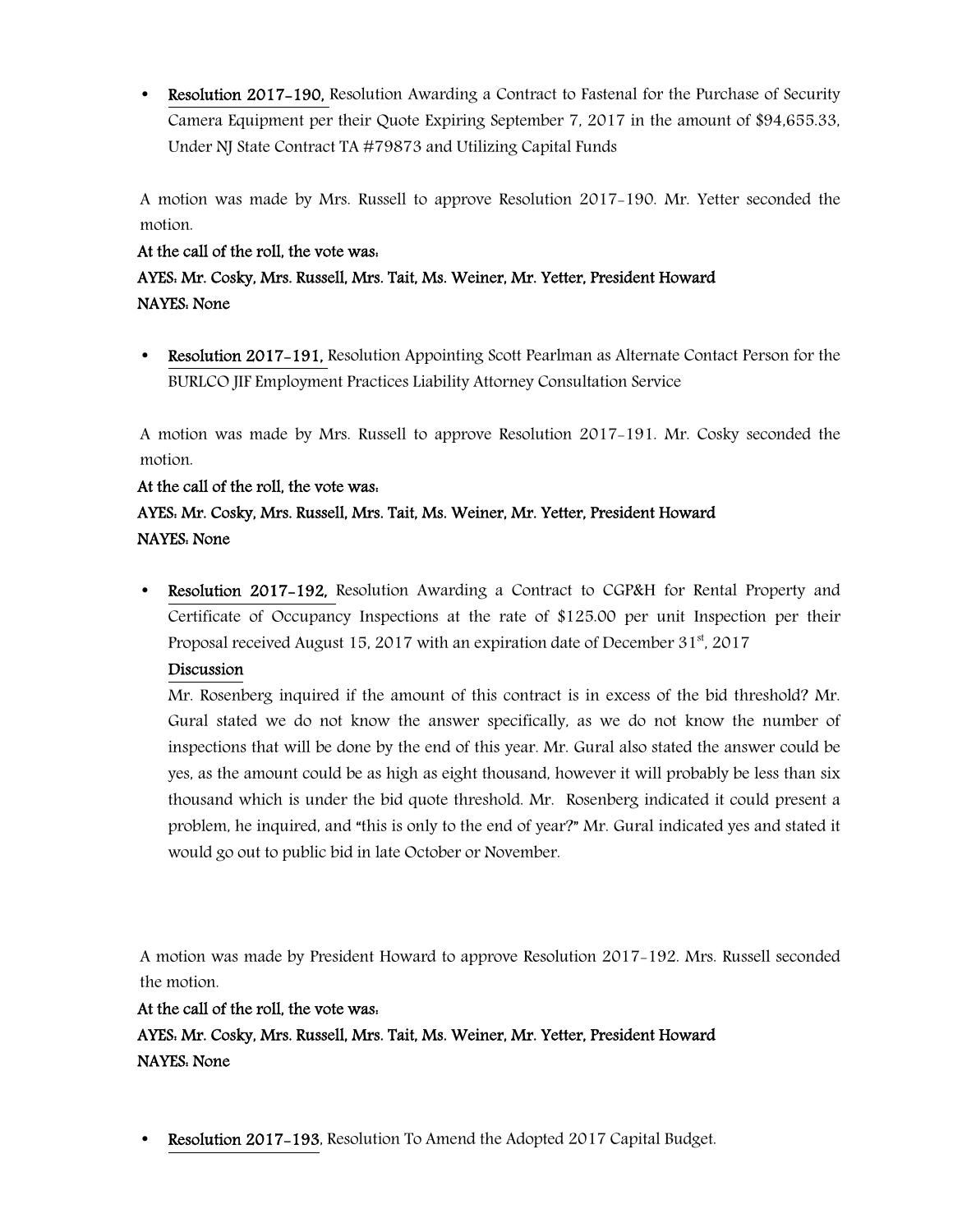• Resolution 2017–190, Resolution Awarding a Contract to Fastenal for the Purchase of Security Camera Equipment per their Quote Expiring September 7, 2017 in the amount of \$94,655.33, Under NJ State Contract TA #79873 and Utilizing Capital Funds

A motion was made by Mrs. Russell to approve Resolution 2017-190. Mr. Yetter seconded the motion.

## At the call of the roll, the vote was:

## AYES: Mr. Cosky, Mrs. Russell, Mrs. Tait, Ms. Weiner, Mr. Yetter, President Howard NAYES: None

• Resolution 2017–191, Resolution Appointing Scott Pearlman as Alternate Contact Person for the BURLCO JIF Employment Practices Liability Attorney Consultation Service

A motion was made by Mrs. Russell to approve Resolution 2017-191. Mr. Cosky seconded the motion.

### At the call of the roll, the vote was:

## AYES: Mr. Cosky, Mrs. Russell, Mrs. Tait, Ms. Weiner, Mr. Yetter, President Howard NAYES: None

• Resolution 2017-192, Resolution Awarding a Contract to CGP&H for Rental Property and Certificate of Occupancy Inspections at the rate of \$125.00 per unit Inspection per their Proposal received August 15, 2017 with an expiration date of December 31<sup>st</sup>, 2017

## Discussion

Mr. Rosenberg inquired if the amount of this contract is in excess of the bid threshold? Mr. Gural stated we do not know the answer specifically, as we do not know the number of inspections that will be done by the end of this year. Mr. Gural also stated the answer could be yes, as the amount could be as high as eight thousand, however it will probably be less than six thousand which is under the bid quote threshold. Mr. Rosenberg indicated it could present a problem, he inquired, and "this is only to the end of year?" Mr. Gural indicated yes and stated it would go out to public bid in late October or November.

A motion was made by President Howard to approve Resolution 2017-192. Mrs. Russell seconded the motion.

### At the call of the roll, the vote was:

 AYES: Mr. Cosky, Mrs. Russell, Mrs. Tait, Ms. Weiner, Mr. Yetter, President Howard NAYES: None

**Resolution 2017–193, Resolution To Amend the Adopted 2017 Capital Budget.**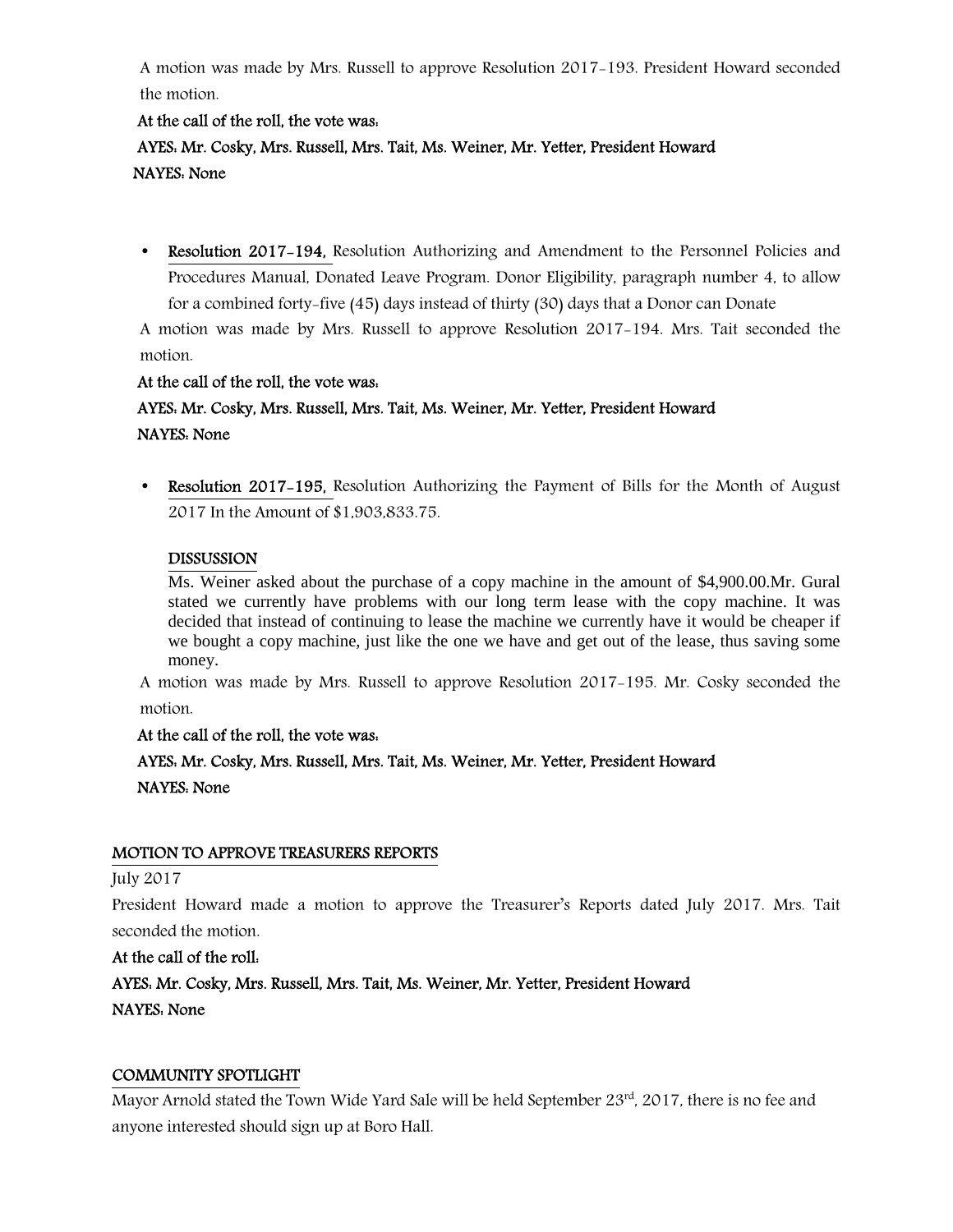A motion was made by Mrs. Russell to approve Resolution 2017-193. President Howard seconded the motion.

### At the call of the roll, the vote was:

## AYES: Mr. Cosky, Mrs. Russell, Mrs. Tait, Ms. Weiner, Mr. Yetter, President Howard NAYES: None

• Resolution 2017–194, Resolution Authorizing and Amendment to the Personnel Policies and Procedures Manual, Donated Leave Program. Donor Eligibility, paragraph number 4, to allow for a combined forty-five (45) days instead of thirty (30) days that a Donor can Donate

A motion was made by Mrs. Russell to approve Resolution 2017-194. Mrs. Tait seconded the motion.

### At the call of the roll, the vote was:

## AYES: Mr. Cosky, Mrs. Russell, Mrs. Tait, Ms. Weiner, Mr. Yetter, President Howard NAYES: None

• Resolution 2017–195, Resolution Authorizing the Payment of Bills for the Month of August 2017 In the Amount of \$1,903,833.75.

### DISSUSSION

Ms. Weiner asked about the purchase of a copy machine in the amount of \$4,900.00.Mr. Gural stated we currently have problems with our long term lease with the copy machine. It was decided that instead of continuing to lease the machine we currently have it would be cheaper if we bought a copy machine, just like the one we have and get out of the lease, thus saving some money.

A motion was made by Mrs. Russell to approve Resolution 2017-195. Mr. Cosky seconded the motion.

### At the call of the roll, the vote was:

## AYES: Mr. Cosky, Mrs. Russell, Mrs. Tait, Ms. Weiner, Mr. Yetter, President Howard NAYES: None

### MOTION TO APPROVE TREASURERS REPORTS

#### July 2017

President Howard made a motion to approve the Treasurer's Reports dated July 2017. Mrs. Tait seconded the motion.

### At the call of the roll:

AYES: Mr. Cosky, Mrs. Russell, Mrs. Tait, Ms. Weiner, Mr. Yetter, President Howard NAYES: None

#### COMMUNITY SPOTLIGHT

Mayor Arnold stated the Town Wide Yard Sale will be held September 23<sup>rd</sup>, 2017, there is no fee and anyone interested should sign up at Boro Hall.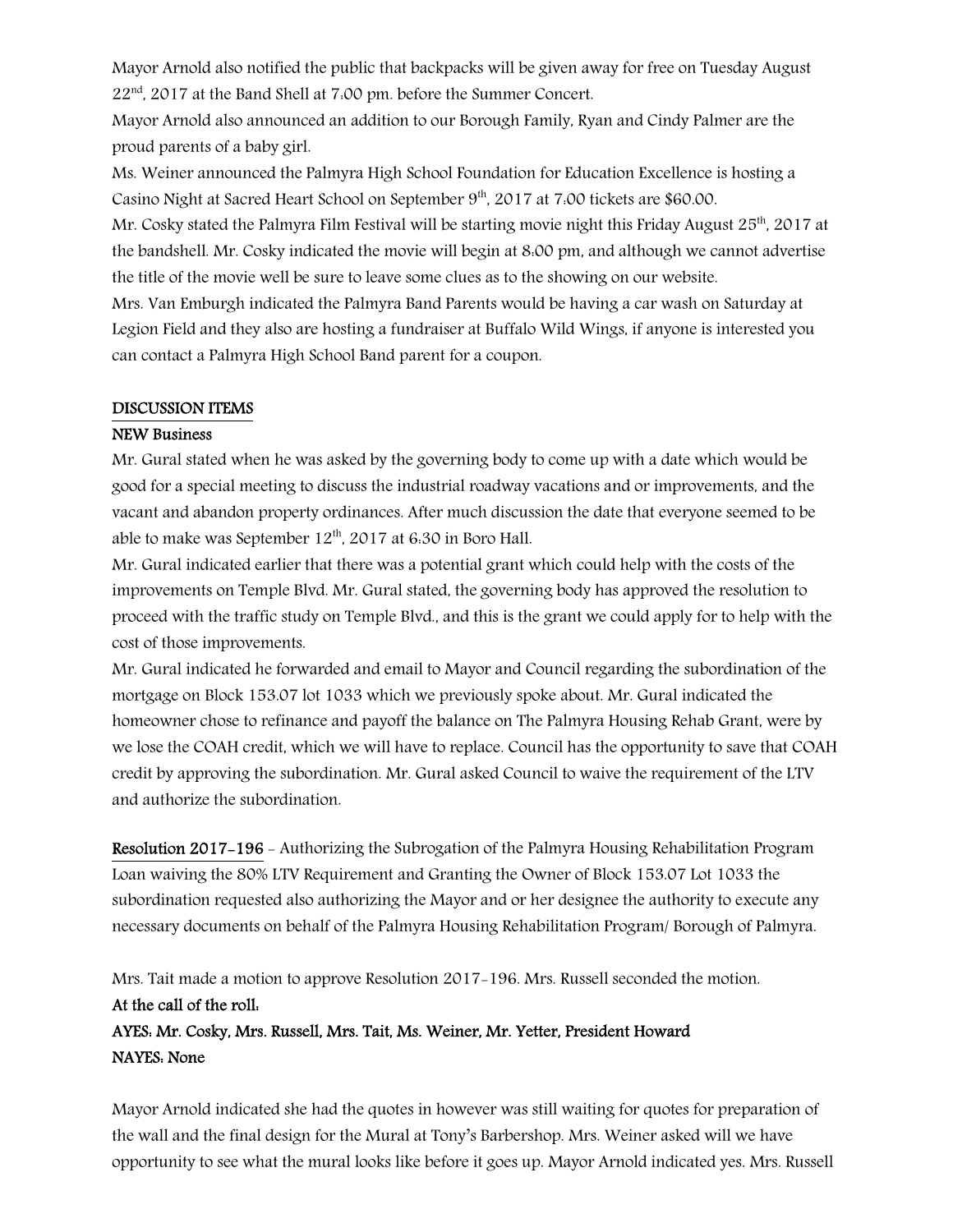Mayor Arnold also notified the public that backpacks will be given away for free on Tuesday August 22<sup>nd</sup>, 2017 at the Band Shell at 7:00 pm. before the Summer Concert.

Mayor Arnold also announced an addition to our Borough Family, Ryan and Cindy Palmer are the proud parents of a baby girl.

Ms. Weiner announced the Palmyra High School Foundation for Education Excellence is hosting a Casino Night at Sacred Heart School on September 9<sup>th</sup>, 2017 at 7:00 tickets are \$60.00.

Mr. Cosky stated the Palmyra Film Festival will be starting movie night this Friday August  $25<sup>th</sup>$ , 2017 at the bandshell. Mr. Cosky indicated the movie will begin at 8:00 pm, and although we cannot advertise the title of the movie well be sure to leave some clues as to the showing on our website.

Mrs. Van Emburgh indicated the Palmyra Band Parents would be having a car wash on Saturday at Legion Field and they also are hosting a fundraiser at Buffalo Wild Wings, if anyone is interested you can contact a Palmyra High School Band parent for a coupon.

#### DISCUSSION ITEMS

### NEW Business

Mr. Gural stated when he was asked by the governing body to come up with a date which would be good for a special meeting to discuss the industrial roadway vacations and or improvements, and the vacant and abandon property ordinances. After much discussion the date that everyone seemed to be able to make was September  $12^{th}$ , 2017 at 6:30 in Boro Hall.

Mr. Gural indicated earlier that there was a potential grant which could help with the costs of the improvements on Temple Blvd. Mr. Gural stated, the governing body has approved the resolution to proceed with the traffic study on Temple Blvd., and this is the grant we could apply for to help with the cost of those improvements.

Mr. Gural indicated he forwarded and email to Mayor and Council regarding the subordination of the mortgage on Block 153.07 lot 1033 which we previously spoke about. Mr. Gural indicated the homeowner chose to refinance and payoff the balance on The Palmyra Housing Rehab Grant, were by we lose the COAH credit, which we will have to replace. Council has the opportunity to save that COAH credit by approving the subordination. Mr. Gural asked Council to waive the requirement of the LTV and authorize the subordination.

Resolution 2017-196 - Authorizing the Subrogation of the Palmyra Housing Rehabilitation Program Loan waiving the 80% LTV Requirement and Granting the Owner of Block 153.07 Lot 1033 the subordination requested also authorizing the Mayor and or her designee the authority to execute any necessary documents on behalf of the Palmyra Housing Rehabilitation Program/ Borough of Palmyra.

Mrs. Tait made a motion to approve Resolution 2017-196. Mrs. Russell seconded the motion. At the call of the roll: AYES: Mr. Cosky, Mrs. Russell, Mrs. Tait, Ms. Weiner, Mr. Yetter, President Howard NAYES: None

Mayor Arnold indicated she had the quotes in however was still waiting for quotes for preparation of the wall and the final design for the Mural at Tony's Barbershop. Mrs. Weiner asked will we have opportunity to see what the mural looks like before it goes up. Mayor Arnold indicated yes. Mrs. Russell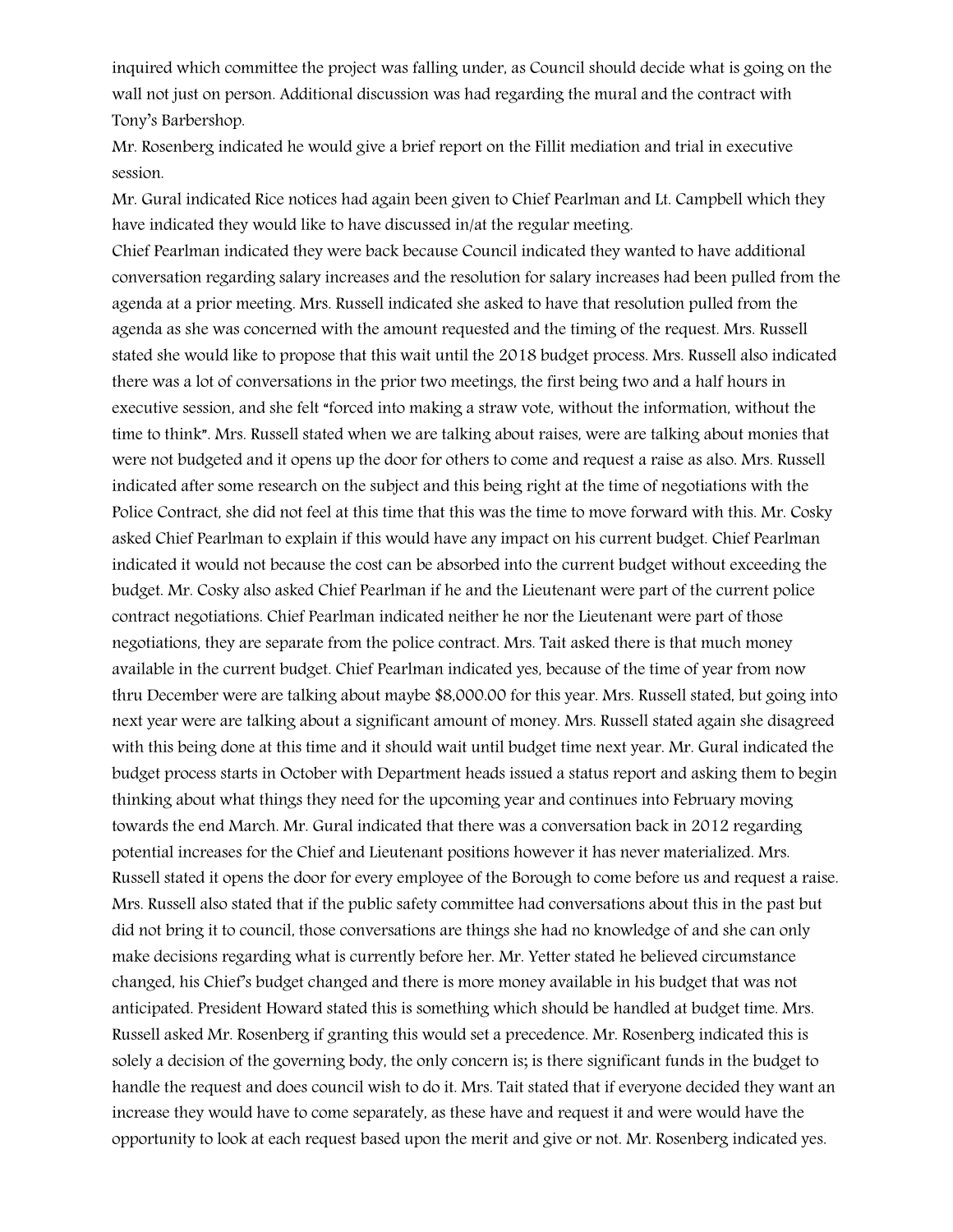inquired which committee the project was falling under, as Council should decide what is going on the wall not just on person. Additional discussion was had regarding the mural and the contract with Tony's Barbershop.

Mr. Rosenberg indicated he would give a brief report on the Fillit mediation and trial in executive session.

Mr. Gural indicated Rice notices had again been given to Chief Pearlman and Lt. Campbell which they have indicated they would like to have discussed in/at the regular meeting.

Chief Pearlman indicated they were back because Council indicated they wanted to have additional conversation regarding salary increases and the resolution for salary increases had been pulled from the agenda at a prior meeting. Mrs. Russell indicated she asked to have that resolution pulled from the agenda as she was concerned with the amount requested and the timing of the request. Mrs. Russell stated she would like to propose that this wait until the 2018 budget process. Mrs. Russell also indicated there was a lot of conversations in the prior two meetings, the first being two and a half hours in executive session, and she felt "forced into making a straw vote, without the information, without the time to think". Mrs. Russell stated when we are talking about raises, were are talking about monies that were not budgeted and it opens up the door for others to come and request a raise as also. Mrs. Russell indicated after some research on the subject and this being right at the time of negotiations with the Police Contract, she did not feel at this time that this was the time to move forward with this. Mr. Cosky asked Chief Pearlman to explain if this would have any impact on his current budget. Chief Pearlman indicated it would not because the cost can be absorbed into the current budget without exceeding the budget. Mr. Cosky also asked Chief Pearlman if he and the Lieutenant were part of the current police contract negotiations. Chief Pearlman indicated neither he nor the Lieutenant were part of those negotiations, they are separate from the police contract. Mrs. Tait asked there is that much money available in the current budget. Chief Pearlman indicated yes, because of the time of year from now thru December were are talking about maybe \$8,000.00 for this year. Mrs. Russell stated, but going into next year were are talking about a significant amount of money. Mrs. Russell stated again she disagreed with this being done at this time and it should wait until budget time next year. Mr. Gural indicated the budget process starts in October with Department heads issued a status report and asking them to begin thinking about what things they need for the upcoming year and continues into February moving towards the end March. Mr. Gural indicated that there was a conversation back in 2012 regarding potential increases for the Chief and Lieutenant positions however it has never materialized. Mrs. Russell stated it opens the door for every employee of the Borough to come before us and request a raise. Mrs. Russell also stated that if the public safety committee had conversations about this in the past but did not bring it to council, those conversations are things she had no knowledge of and she can only make decisions regarding what is currently before her. Mr. Yetter stated he believed circumstance changed, his Chief's budget changed and there is more money available in his budget that was not anticipated. President Howard stated this is something which should be handled at budget time. Mrs. Russell asked Mr. Rosenberg if granting this would set a precedence. Mr. Rosenberg indicated this is solely a decision of the governing body, the only concern is; is there significant funds in the budget to handle the request and does council wish to do it. Mrs. Tait stated that if everyone decided they want an increase they would have to come separately, as these have and request it and were would have the opportunity to look at each request based upon the merit and give or not. Mr. Rosenberg indicated yes.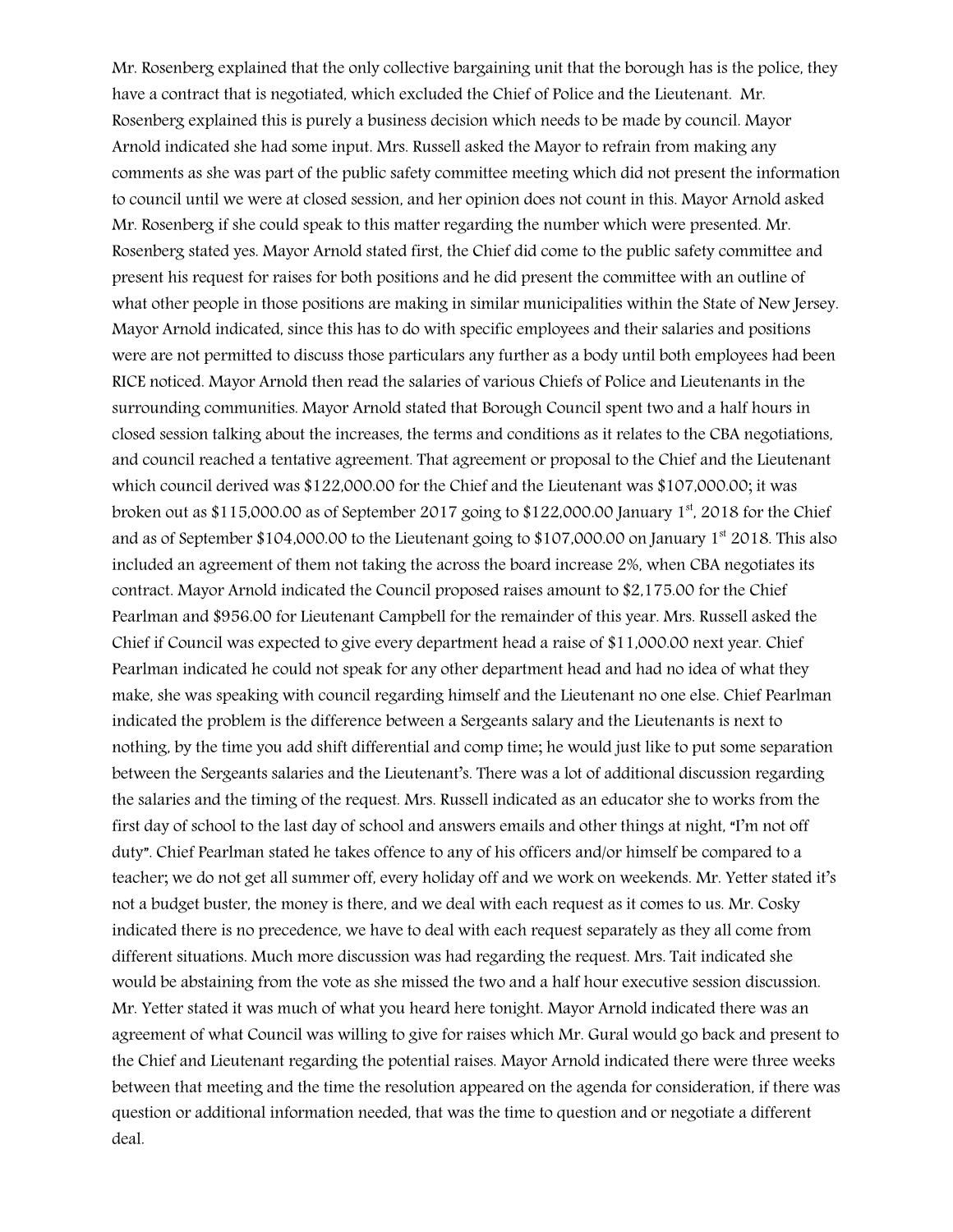Mr. Rosenberg explained that the only collective bargaining unit that the borough has is the police, they have a contract that is negotiated, which excluded the Chief of Police and the Lieutenant. Mr. Rosenberg explained this is purely a business decision which needs to be made by council. Mayor Arnold indicated she had some input. Mrs. Russell asked the Mayor to refrain from making any comments as she was part of the public safety committee meeting which did not present the information to council until we were at closed session, and her opinion does not count in this. Mayor Arnold asked Mr. Rosenberg if she could speak to this matter regarding the number which were presented. Mr. Rosenberg stated yes. Mayor Arnold stated first, the Chief did come to the public safety committee and present his request for raises for both positions and he did present the committee with an outline of what other people in those positions are making in similar municipalities within the State of New Jersey. Mayor Arnold indicated, since this has to do with specific employees and their salaries and positions were are not permitted to discuss those particulars any further as a body until both employees had been RICE noticed. Mayor Arnold then read the salaries of various Chiefs of Police and Lieutenants in the surrounding communities. Mayor Arnold stated that Borough Council spent two and a half hours in closed session talking about the increases, the terms and conditions as it relates to the CBA negotiations, and council reached a tentative agreement. That agreement or proposal to the Chief and the Lieutenant which council derived was \$122,000.00 for the Chief and the Lieutenant was \$107,000.00; it was broken out as \$115,000.00 as of September 2017 going to \$122,000.00 January 1st, 2018 for the Chief and as of September \$104,000.00 to the Lieutenant going to \$107,000.00 on January  $1<sup>st</sup>$  2018. This also included an agreement of them not taking the across the board increase 2%, when CBA negotiates its contract. Mayor Arnold indicated the Council proposed raises amount to \$2,175.00 for the Chief Pearlman and \$956.00 for Lieutenant Campbell for the remainder of this year. Mrs. Russell asked the Chief if Council was expected to give every department head a raise of \$11,000.00 next year. Chief Pearlman indicated he could not speak for any other department head and had no idea of what they make, she was speaking with council regarding himself and the Lieutenant no one else. Chief Pearlman indicated the problem is the difference between a Sergeants salary and the Lieutenants is next to nothing, by the time you add shift differential and comp time; he would just like to put some separation between the Sergeants salaries and the Lieutenant's. There was a lot of additional discussion regarding the salaries and the timing of the request. Mrs. Russell indicated as an educator she to works from the first day of school to the last day of school and answers emails and other things at night, "I'm not off duty". Chief Pearlman stated he takes offence to any of his officers and/or himself be compared to a teacher; we do not get all summer off, every holiday off and we work on weekends. Mr. Yetter stated it's not a budget buster, the money is there, and we deal with each request as it comes to us. Mr. Cosky indicated there is no precedence, we have to deal with each request separately as they all come from different situations. Much more discussion was had regarding the request. Mrs. Tait indicated she would be abstaining from the vote as she missed the two and a half hour executive session discussion. Mr. Yetter stated it was much of what you heard here tonight. Mayor Arnold indicated there was an agreement of what Council was willing to give for raises which Mr. Gural would go back and present to the Chief and Lieutenant regarding the potential raises. Mayor Arnold indicated there were three weeks between that meeting and the time the resolution appeared on the agenda for consideration, if there was question or additional information needed, that was the time to question and or negotiate a different deal.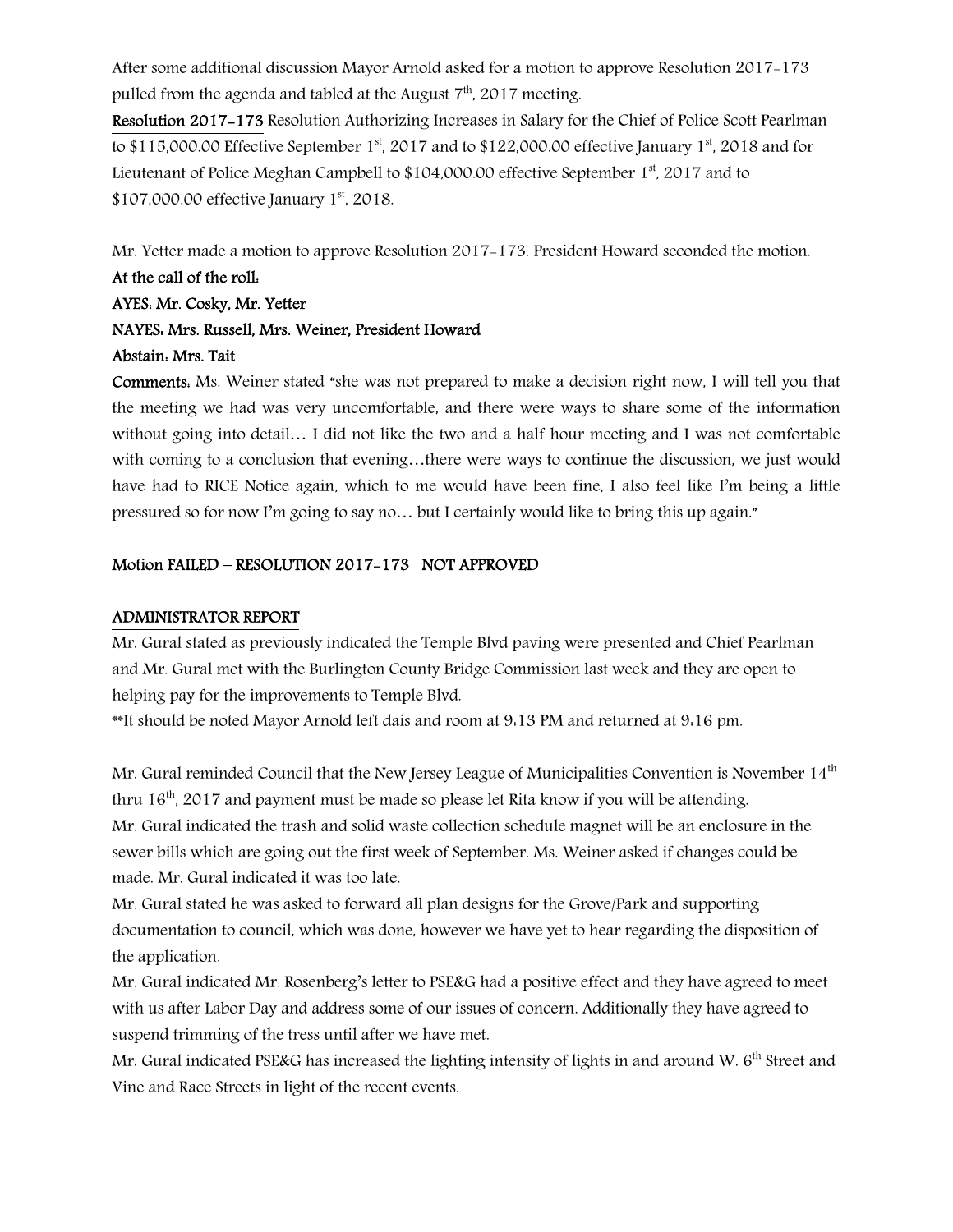After some additional discussion Mayor Arnold asked for a motion to approve Resolution 2017-173 pulled from the agenda and tabled at the August  $7<sup>th</sup>$ , 2017 meeting.

Resolution 2017-173 Resolution Authorizing Increases in Salary for the Chief of Police Scott Pearlman to \$115,000.00 Effective September  $1<sup>st</sup>$ , 2017 and to \$122,000.00 effective January  $1<sup>st</sup>$ , 2018 and for Lieutenant of Police Meghan Campbell to  $$104,000.00$  effective September 1<sup>st</sup>, 2017 and to \$107,000.00 effective January 1<sup>st</sup>, 2018.

Mr. Yetter made a motion to approve Resolution 2017-173. President Howard seconded the motion.

## At the call of the roll: AYES: Mr. Cosky, Mr. Yetter

# NAYES: Mrs. Russell, Mrs. Weiner, President Howard Abstain: Mrs. Tait

Comments: Ms. Weiner stated "she was not prepared to make a decision right now, I will tell you that the meeting we had was very uncomfortable, and there were ways to share some of the information without going into detail... I did not like the two and a half hour meeting and I was not comfortable with coming to a conclusion that evening…there were ways to continue the discussion, we just would have had to RICE Notice again, which to me would have been fine, I also feel like I'm being a little pressured so for now I'm going to say no… but I certainly would like to bring this up again."

## Motion FAILED – RESOLUTION 2017-173 NOT APPROVED

### ADMINISTRATOR REPORT

Mr. Gural stated as previously indicated the Temple Blvd paving were presented and Chief Pearlman and Mr. Gural met with the Burlington County Bridge Commission last week and they are open to helping pay for the improvements to Temple Blvd.

\*\*It should be noted Mayor Arnold left dais and room at 9:13 PM and returned at 9:16 pm.

Mr. Gural reminded Council that the New Jersey League of Municipalities Convention is November  $14<sup>th</sup>$ thru  $16<sup>th</sup>$ , 2017 and payment must be made so please let Rita know if you will be attending. Mr. Gural indicated the trash and solid waste collection schedule magnet will be an enclosure in the sewer bills which are going out the first week of September. Ms. Weiner asked if changes could be made. Mr. Gural indicated it was too late.

Mr. Gural stated he was asked to forward all plan designs for the Grove/Park and supporting documentation to council, which was done, however we have yet to hear regarding the disposition of the application.

Mr. Gural indicated Mr. Rosenberg's letter to PSE&G had a positive effect and they have agreed to meet with us after Labor Day and address some of our issues of concern. Additionally they have agreed to suspend trimming of the tress until after we have met.

Mr. Gural indicated PSE&G has increased the lighting intensity of lights in and around W. 6<sup>th</sup> Street and Vine and Race Streets in light of the recent events.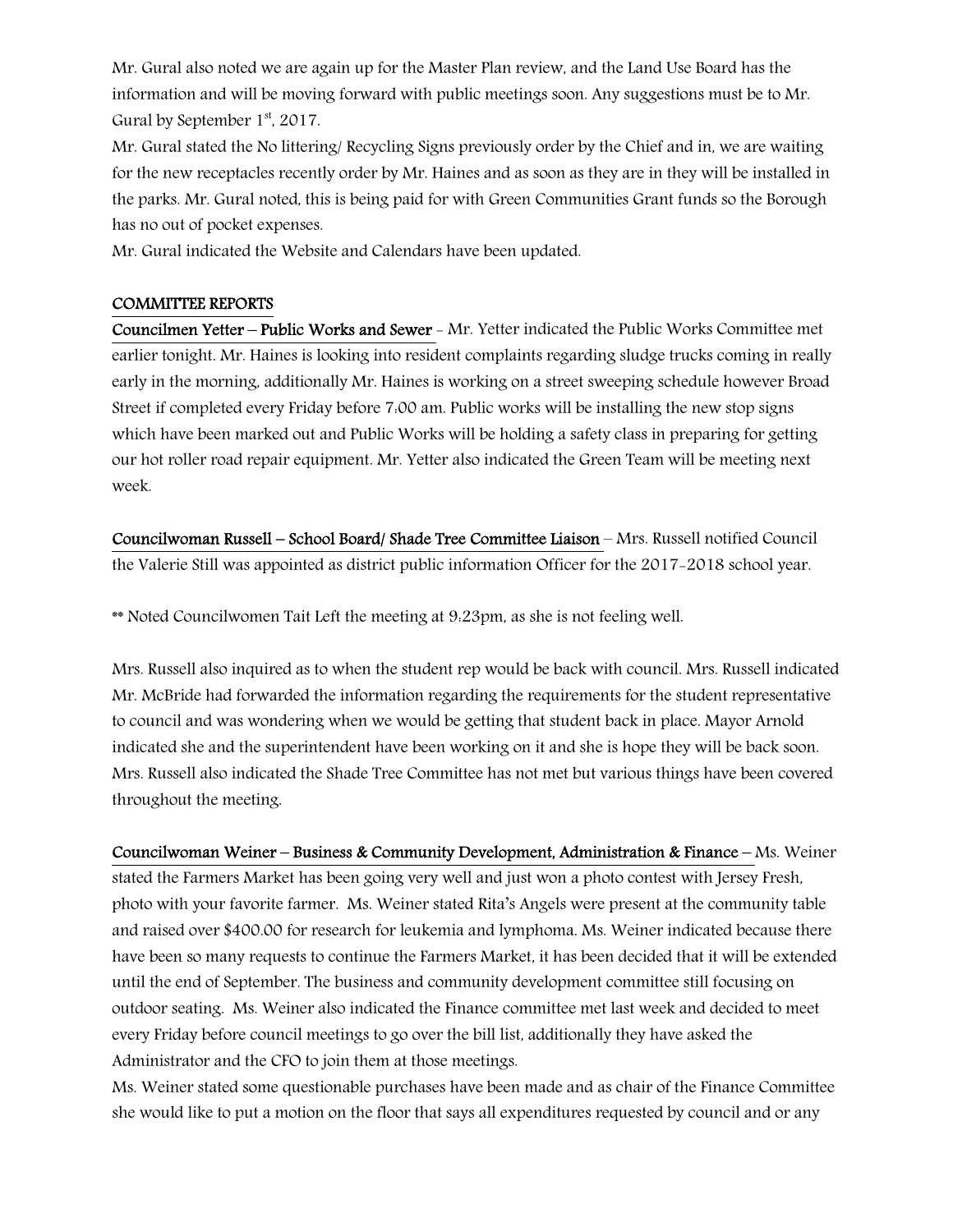Mr. Gural also noted we are again up for the Master Plan review, and the Land Use Board has the information and will be moving forward with public meetings soon. Any suggestions must be to Mr. Gural by September  $1<sup>st</sup>$ , 2017.

Mr. Gural stated the No littering/ Recycling Signs previously order by the Chief and in, we are waiting for the new receptacles recently order by Mr. Haines and as soon as they are in they will be installed in the parks. Mr. Gural noted, this is being paid for with Green Communities Grant funds so the Borough has no out of pocket expenses.

Mr. Gural indicated the Website and Calendars have been updated.

#### COMMITTEE REPORTS

Councilmen Yetter – Public Works and Sewer - Mr. Yetter indicated the Public Works Committee met earlier tonight. Mr. Haines is looking into resident complaints regarding sludge trucks coming in really early in the morning, additionally Mr. Haines is working on a street sweeping schedule however Broad Street if completed every Friday before 7:00 am. Public works will be installing the new stop signs which have been marked out and Public Works will be holding a safety class in preparing for getting our hot roller road repair equipment. Mr. Yetter also indicated the Green Team will be meeting next week.

Councilwoman Russell – School Board/ Shade Tree Committee Liaison – Mrs. Russell notified Council the Valerie Still was appointed as district public information Officer for the 2017-2018 school year.

\*\* Noted Councilwomen Tait Left the meeting at 9:23pm, as she is not feeling well.

Mrs. Russell also inquired as to when the student rep would be back with council. Mrs. Russell indicated Mr. McBride had forwarded the information regarding the requirements for the student representative to council and was wondering when we would be getting that student back in place. Mayor Arnold indicated she and the superintendent have been working on it and she is hope they will be back soon. Mrs. Russell also indicated the Shade Tree Committee has not met but various things have been covered throughout the meeting.

Councilwoman Weiner – Business & Community Development, Administration & Finance – Ms. Weiner stated the Farmers Market has been going very well and just won a photo contest with Jersey Fresh, photo with your favorite farmer. Ms. Weiner stated Rita's Angels were present at the community table and raised over \$400.00 for research for leukemia and lymphoma. Ms. Weiner indicated because there have been so many requests to continue the Farmers Market, it has been decided that it will be extended until the end of September. The business and community development committee still focusing on outdoor seating. Ms. Weiner also indicated the Finance committee met last week and decided to meet every Friday before council meetings to go over the bill list, additionally they have asked the Administrator and the CFO to join them at those meetings.

Ms. Weiner stated some questionable purchases have been made and as chair of the Finance Committee she would like to put a motion on the floor that says all expenditures requested by council and or any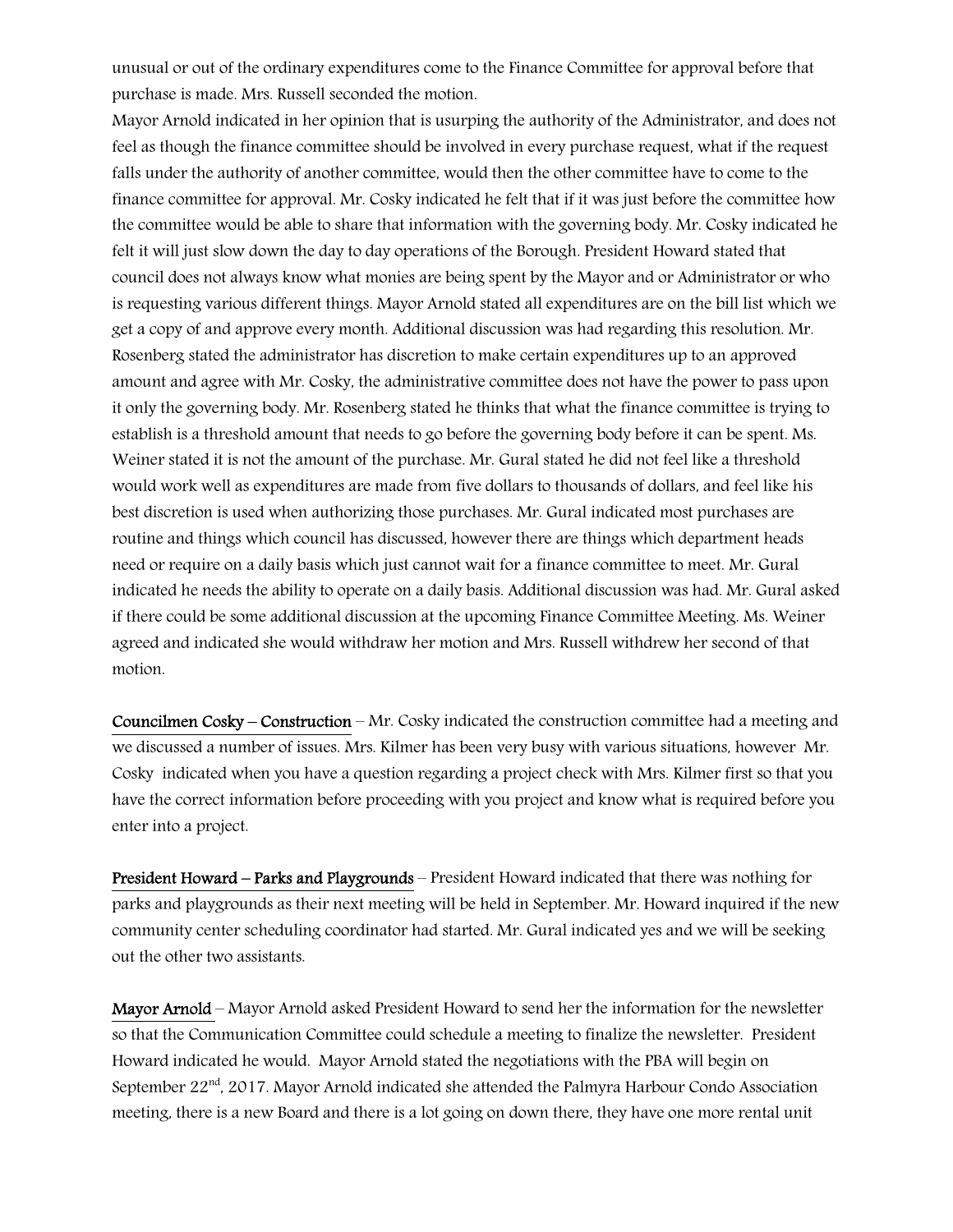unusual or out of the ordinary expenditures come to the Finance Committee for approval before that purchase is made. Mrs. Russell seconded the motion.

Mayor Arnold indicated in her opinion that is usurping the authority of the Administrator, and does not feel as though the finance committee should be involved in every purchase request, what if the request falls under the authority of another committee, would then the other committee have to come to the finance committee for approval. Mr. Cosky indicated he felt that if it was just before the committee how the committee would be able to share that information with the governing body. Mr. Cosky indicated he felt it will just slow down the day to day operations of the Borough. President Howard stated that council does not always know what monies are being spent by the Mayor and or Administrator or who is requesting various different things. Mayor Arnold stated all expenditures are on the bill list which we get a copy of and approve every month. Additional discussion was had regarding this resolution. Mr. Rosenberg stated the administrator has discretion to make certain expenditures up to an approved amount and agree with Mr. Cosky, the administrative committee does not have the power to pass upon it only the governing body. Mr. Rosenberg stated he thinks that what the finance committee is trying to establish is a threshold amount that needs to go before the governing body before it can be spent. Ms. Weiner stated it is not the amount of the purchase. Mr. Gural stated he did not feel like a threshold would work well as expenditures are made from five dollars to thousands of dollars, and feel like his best discretion is used when authorizing those purchases. Mr. Gural indicated most purchases are routine and things which council has discussed, however there are things which department heads need or require on a daily basis which just cannot wait for a finance committee to meet. Mr. Gural indicated he needs the ability to operate on a daily basis. Additional discussion was had. Mr. Gural asked if there could be some additional discussion at the upcoming Finance Committee Meeting. Ms. Weiner agreed and indicated she would withdraw her motion and Mrs. Russell withdrew her second of that motion.

Councilmen Cosky – Construction – Mr. Cosky indicated the construction committee had a meeting and we discussed a number of issues. Mrs. Kilmer has been very busy with various situations, however Mr. Cosky indicated when you have a question regarding a project check with Mrs. Kilmer first so that you have the correct information before proceeding with you project and know what is required before you enter into a project.

President Howard – Parks and Playgrounds – President Howard indicated that there was nothing for parks and playgrounds as their next meeting will be held in September. Mr. Howard inquired if the new community center scheduling coordinator had started. Mr. Gural indicated yes and we will be seeking out the other two assistants.

Mayor Arnold – Mayor Arnold asked President Howard to send her the information for the newsletter so that the Communication Committee could schedule a meeting to finalize the newsletter. President Howard indicated he would. Mayor Arnold stated the negotiations with the PBA will begin on September 22<sup>nd</sup>, 2017. Mayor Arnold indicated she attended the Palmyra Harbour Condo Association meeting, there is a new Board and there is a lot going on down there, they have one more rental unit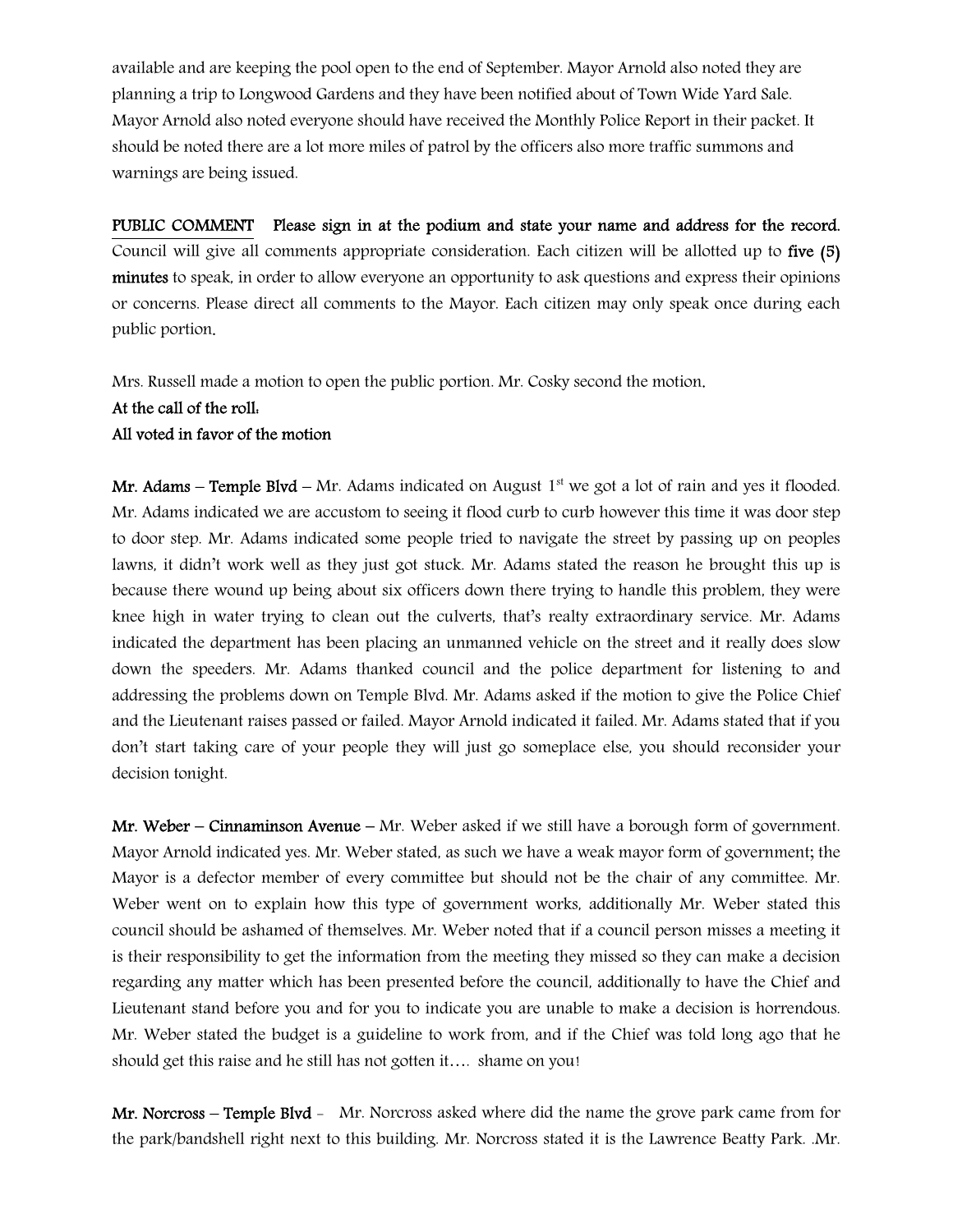available and are keeping the pool open to the end of September. Mayor Arnold also noted they are planning a trip to Longwood Gardens and they have been notified about of Town Wide Yard Sale. Mayor Arnold also noted everyone should have received the Monthly Police Report in their packet. It should be noted there are a lot more miles of patrol by the officers also more traffic summons and warnings are being issued.

PUBLIC COMMENT Please sign in at the podium and state your name and address for the record. Council will give all comments appropriate consideration. Each citizen will be allotted up to five (5) minutes to speak, in order to allow everyone an opportunity to ask questions and express their opinions or concerns. Please direct all comments to the Mayor. Each citizen may only speak once during each public portion.

Mrs. Russell made a motion to open the public portion. Mr. Cosky second the motion.

#### At the call of the roll:

#### All voted in favor of the motion

Mr. Adams – Temple Blvd – Mr. Adams indicated on August  $1<sup>st</sup>$  we got a lot of rain and yes it flooded. Mr. Adams indicated we are accustom to seeing it flood curb to curb however this time it was door step to door step. Mr. Adams indicated some people tried to navigate the street by passing up on peoples lawns, it didn't work well as they just got stuck. Mr. Adams stated the reason he brought this up is because there wound up being about six officers down there trying to handle this problem, they were knee high in water trying to clean out the culverts, that's realty extraordinary service. Mr. Adams indicated the department has been placing an unmanned vehicle on the street and it really does slow down the speeders. Mr. Adams thanked council and the police department for listening to and addressing the problems down on Temple Blvd. Mr. Adams asked if the motion to give the Police Chief and the Lieutenant raises passed or failed. Mayor Arnold indicated it failed. Mr. Adams stated that if you don't start taking care of your people they will just go someplace else, you should reconsider your decision tonight.

Mr. Weber – Cinnaminson Avenue – Mr. Weber asked if we still have a borough form of government. Mayor Arnold indicated yes. Mr. Weber stated, as such we have a weak mayor form of government; the Mayor is a defector member of every committee but should not be the chair of any committee. Mr. Weber went on to explain how this type of government works, additionally Mr. Weber stated this council should be ashamed of themselves. Mr. Weber noted that if a council person misses a meeting it is their responsibility to get the information from the meeting they missed so they can make a decision regarding any matter which has been presented before the council, additionally to have the Chief and Lieutenant stand before you and for you to indicate you are unable to make a decision is horrendous. Mr. Weber stated the budget is a guideline to work from, and if the Chief was told long ago that he should get this raise and he still has not gotten it…. shame on you!

Mr. Norcross – Temple Blyd - Mr. Norcross asked where did the name the grove park came from for the park/bandshell right next to this building. Mr. Norcross stated it is the Lawrence Beatty Park. .Mr.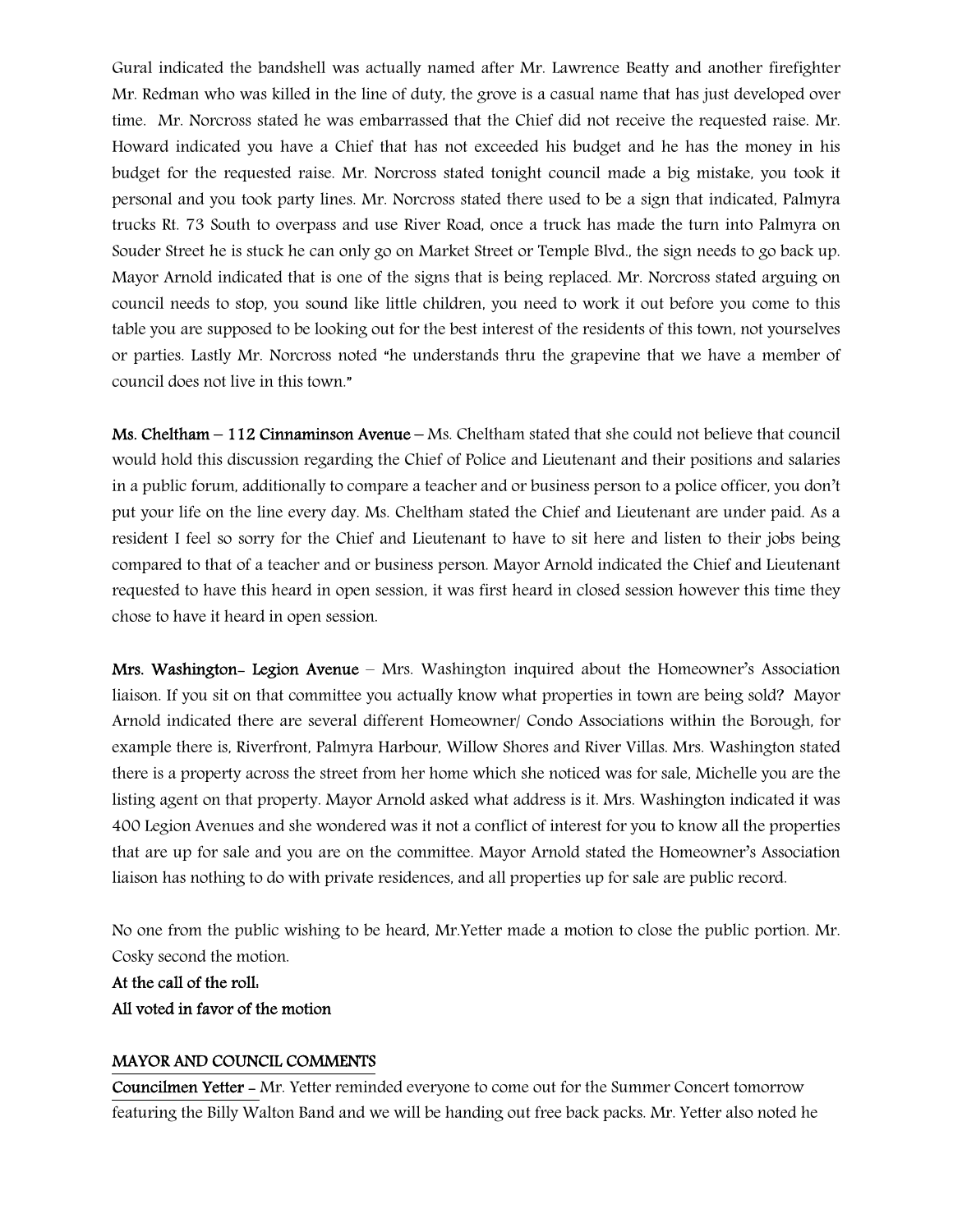Gural indicated the bandshell was actually named after Mr. Lawrence Beatty and another firefighter Mr. Redman who was killed in the line of duty, the grove is a casual name that has just developed over time. Mr. Norcross stated he was embarrassed that the Chief did not receive the requested raise. Mr. Howard indicated you have a Chief that has not exceeded his budget and he has the money in his budget for the requested raise. Mr. Norcross stated tonight council made a big mistake, you took it personal and you took party lines. Mr. Norcross stated there used to be a sign that indicated, Palmyra trucks Rt. 73 South to overpass and use River Road, once a truck has made the turn into Palmyra on Souder Street he is stuck he can only go on Market Street or Temple Blvd., the sign needs to go back up. Mayor Arnold indicated that is one of the signs that is being replaced. Mr. Norcross stated arguing on council needs to stop, you sound like little children, you need to work it out before you come to this table you are supposed to be looking out for the best interest of the residents of this town, not yourselves or parties. Lastly Mr. Norcross noted "he understands thru the grapevine that we have a member of council does not live in this town."

Ms. Cheltham – 112 Cinnaminson Avenue – Ms. Cheltham stated that she could not believe that council would hold this discussion regarding the Chief of Police and Lieutenant and their positions and salaries in a public forum, additionally to compare a teacher and or business person to a police officer, you don't put your life on the line every day. Ms. Cheltham stated the Chief and Lieutenant are under paid. As a resident I feel so sorry for the Chief and Lieutenant to have to sit here and listen to their jobs being compared to that of a teacher and or business person. Mayor Arnold indicated the Chief and Lieutenant requested to have this heard in open session, it was first heard in closed session however this time they chose to have it heard in open session.

Mrs. Washington- Legion Avenue – Mrs. Washington inquired about the Homeowner's Association liaison. If you sit on that committee you actually know what properties in town are being sold? Mayor Arnold indicated there are several different Homeowner/ Condo Associations within the Borough, for example there is, Riverfront, Palmyra Harbour, Willow Shores and River Villas. Mrs. Washington stated there is a property across the street from her home which she noticed was for sale, Michelle you are the listing agent on that property. Mayor Arnold asked what address is it. Mrs. Washington indicated it was 400 Legion Avenues and she wondered was it not a conflict of interest for you to know all the properties that are up for sale and you are on the committee. Mayor Arnold stated the Homeowner's Association liaison has nothing to do with private residences, and all properties up for sale are public record.

No one from the public wishing to be heard, Mr.Yetter made a motion to close the public portion. Mr. Cosky second the motion.

At the call of the roll: All voted in favor of the motion

### MAYOR AND COUNCIL COMMENTS

Councilmen Yetter - Mr. Yetter reminded everyone to come out for the Summer Concert tomorrow featuring the Billy Walton Band and we will be handing out free back packs. Mr. Yetter also noted he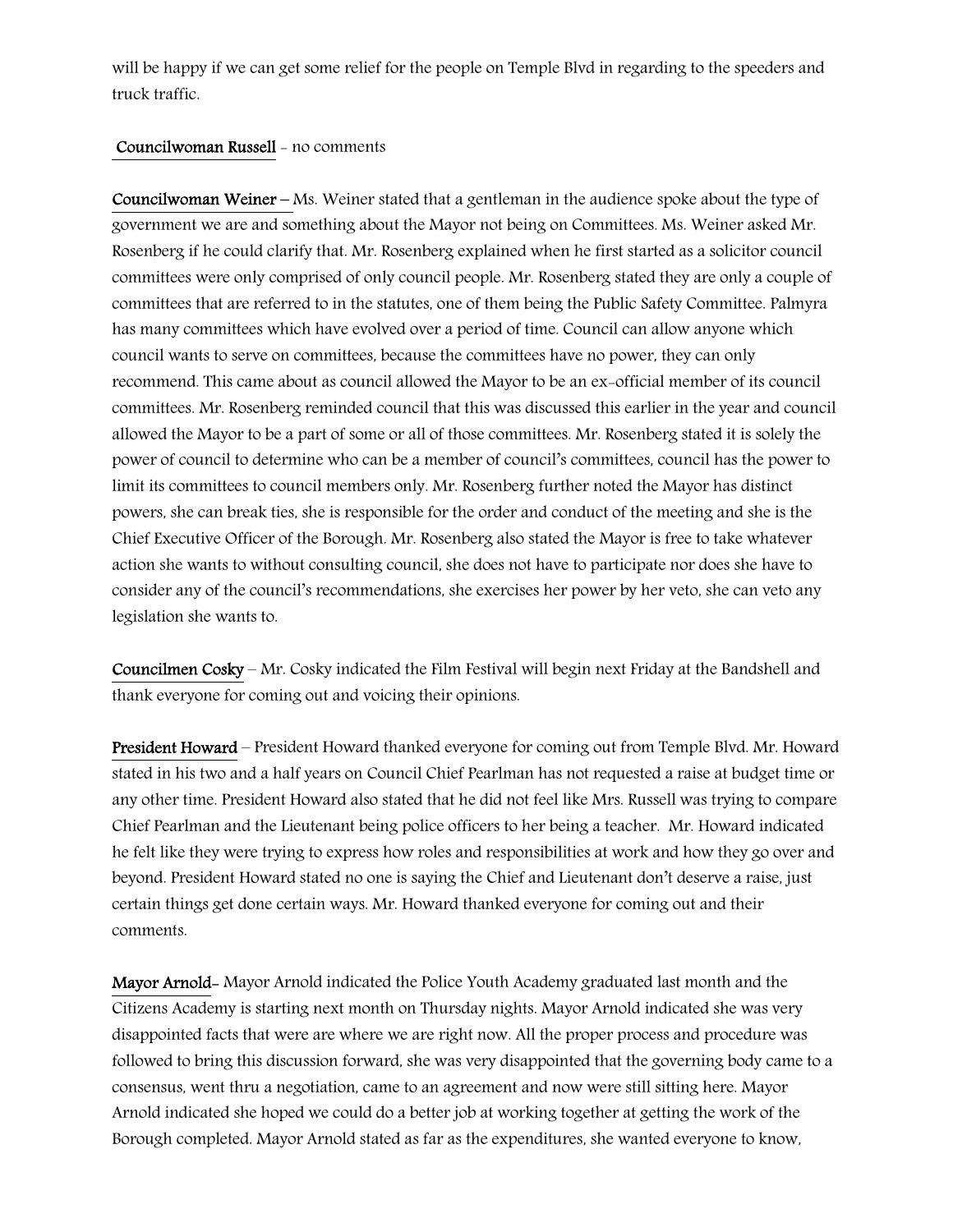will be happy if we can get some relief for the people on Temple Blvd in regarding to the speeders and truck traffic.

### Councilwoman Russell - no comments

Councilwoman Weiner – Ms. Weiner stated that a gentleman in the audience spoke about the type of government we are and something about the Mayor not being on Committees. Ms. Weiner asked Mr. Rosenberg if he could clarify that. Mr. Rosenberg explained when he first started as a solicitor council committees were only comprised of only council people. Mr. Rosenberg stated they are only a couple of committees that are referred to in the statutes, one of them being the Public Safety Committee. Palmyra has many committees which have evolved over a period of time. Council can allow anyone which council wants to serve on committees, because the committees have no power, they can only recommend. This came about as council allowed the Mayor to be an ex-official member of its council committees. Mr. Rosenberg reminded council that this was discussed this earlier in the year and council allowed the Mayor to be a part of some or all of those committees. Mr. Rosenberg stated it is solely the power of council to determine who can be a member of council's committees, council has the power to limit its committees to council members only. Mr. Rosenberg further noted the Mayor has distinct powers, she can break ties, she is responsible for the order and conduct of the meeting and she is the Chief Executive Officer of the Borough. Mr. Rosenberg also stated the Mayor is free to take whatever action she wants to without consulting council, she does not have to participate nor does she have to consider any of the council's recommendations, she exercises her power by her veto, she can veto any legislation she wants to.

Councilmen Cosky – Mr. Cosky indicated the Film Festival will begin next Friday at the Bandshell and thank everyone for coming out and voicing their opinions.

President Howard – President Howard thanked everyone for coming out from Temple Blvd. Mr. Howard stated in his two and a half years on Council Chief Pearlman has not requested a raise at budget time or any other time. President Howard also stated that he did not feel like Mrs. Russell was trying to compare Chief Pearlman and the Lieutenant being police officers to her being a teacher. Mr. Howard indicated he felt like they were trying to express how roles and responsibilities at work and how they go over and beyond. President Howard stated no one is saying the Chief and Lieutenant don't deserve a raise, just certain things get done certain ways. Mr. Howard thanked everyone for coming out and their comments.

Mayor Arnold- Mayor Arnold indicated the Police Youth Academy graduated last month and the Citizens Academy is starting next month on Thursday nights. Mayor Arnold indicated she was very disappointed facts that were are where we are right now. All the proper process and procedure was followed to bring this discussion forward, she was very disappointed that the governing body came to a consensus, went thru a negotiation, came to an agreement and now were still sitting here. Mayor Arnold indicated she hoped we could do a better job at working together at getting the work of the Borough completed. Mayor Arnold stated as far as the expenditures, she wanted everyone to know,